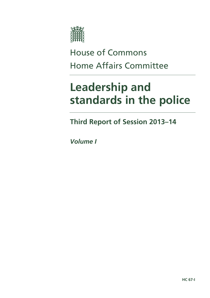

# House of Commons Home Affairs Committee

# **Leadership and standards in the police**

**Third Report of Session 2013–14** 

*Volume I*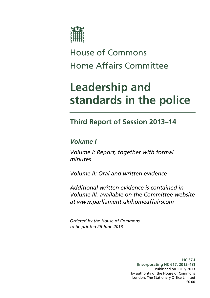

# House of Commons Home Affairs Committee

# **Leadership and standards in the police**

# **Third Report of Session 2013–14**

# *Volume I*

*Volume I: Report, together with formal minutes* 

*Volume II: Oral and written evidence* 

*Additional written evidence is contained in Volume III, available on the Committee website at www.parliament.uk/homeaffairscom* 

*Ordered by the House of Commons to be printed 26 June 2013* 

> **HC 67-I [Incorporating HC 617, 2012–13]**  Published on 1 July 2013 by authority of the House of Commons London: The Stationery Office Limited £0.00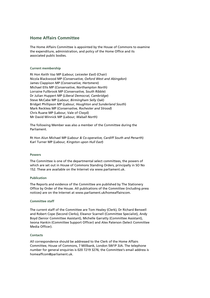# **Home Affairs Committee**

The Home Affairs Committee is appointed by the House of Commons to examine the expenditure, administration, and policy of the Home Office and its associated public bodies.

### **Current membership**

Rt Hon Keith Vaz MP (*Labour, Leicester East*) (Chair) Nicola Blackwood MP (*Conservative, Oxford West and Abingdon*) James Clappison MP (*Conservative, Hertsmere*) Michael Ellis MP (*Conservative*, *Northampton North*) Lorraine Fullbrook MP (*Conservative, South Ribble*) Dr Julian Huppert MP (*Liberal Democrat, Cambridge*) Steve McCabe MP (*Labour, Birmingham Selly Oak*) Bridget Phillipson MP (*Labour, Houghton and Sunderland South*) Mark Reckless MP (*Conservative, Rochester and Strood*) Chris Ruane MP (Labour, Vale of Clwyd) Mr David Winnick MP (*Labour, Walsall North*)

The following Member was also a member of the Committee during the Parliament.

Rt Hon Alun Michael MP (*Labour & Co-operative, Cardiff South and Penarth*) Karl Turner MP (*Labour, Kingston upon Hull East*)

### **Powers**

The Committee is one of the departmental select committees, the powers of which are set out in House of Commons Standing Orders, principally in SO No 152. These are available on the Internet via www.parliament.uk.

### **Publication**

The Reports and evidence of the Committee are published by The Stationery Office by Order of the House. All publications of the Committee (including press notices) are on the Internet at www.parliament.uk/homeaffairscom.

### **Committee staff**

The current staff of the Committee are Tom Healey (Clerk), Dr Richard Benwell and Robert Cope (Second Clerks), Eleanor Scarnell (Committee Specialist), Andy Boyd (Senior Committee Assistant), Michelle Garratty (Committee Assistant), Iwona Hankin (Committee Support Officer) and Alex Paterson (Select Committee Media Officer).

### **Contacts**

All correspondence should be addressed to the Clerk of the Home Affairs Committee, House of Commons, 7 Millbank, London SW1P 3JA. The telephone number for general enquiries is 020 7219 3276; the Committee's email address is homeaffcom@parliament.uk.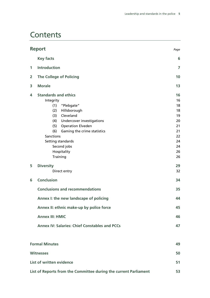# **Contents**

|                         | <b>Report</b>                                                                                                                                                                                                          | Page                                               |
|-------------------------|------------------------------------------------------------------------------------------------------------------------------------------------------------------------------------------------------------------------|----------------------------------------------------|
|                         | <b>Key facts</b>                                                                                                                                                                                                       | 6                                                  |
| 1                       | <b>Introduction</b>                                                                                                                                                                                                    | $\overline{7}$                                     |
| $\overline{\mathbf{2}}$ | <b>The College of Policing</b>                                                                                                                                                                                         | 10                                                 |
| 3                       | <b>Morale</b>                                                                                                                                                                                                          | 13                                                 |
| 4                       | <b>Standards and ethics</b><br>Integrity<br>(1) "Plebgate"<br>(2) Hillsborough<br>(3) Cleveland<br>(4) Undercover investigations<br><b>Operation Elveden</b><br>(5)<br>(6)<br>Gaming the crime statistics<br>Sanctions | 16<br>16<br>18<br>18<br>19<br>20<br>21<br>21<br>22 |
|                         | Setting standards<br>Second jobs<br>Hospitality<br>Training                                                                                                                                                            | 24<br>24<br>26<br>26                               |
| 5                       | <b>Diversity</b><br>Direct entry                                                                                                                                                                                       | 29<br>32                                           |
| 6                       | <b>Conclusion</b>                                                                                                                                                                                                      | 34                                                 |
|                         | <b>Conclusions and recommendations</b>                                                                                                                                                                                 | 35                                                 |
|                         | Annex I: the new landscape of policing                                                                                                                                                                                 | 44                                                 |
|                         | Annex II: ethnic make-up by police force                                                                                                                                                                               | 45                                                 |
|                         | <b>Annex III: HMIC</b>                                                                                                                                                                                                 | 46                                                 |
|                         | <b>Annex IV: Salaries: Chief Constables and PCCs</b>                                                                                                                                                                   | 47                                                 |
|                         | <b>Formal Minutes</b>                                                                                                                                                                                                  | 49                                                 |
|                         | <b>Witnesses</b>                                                                                                                                                                                                       | 50                                                 |
|                         | List of written evidence                                                                                                                                                                                               | 51                                                 |
|                         | List of Reports from the Committee during the current Parliament                                                                                                                                                       | 53                                                 |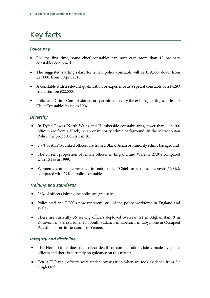# Key facts

# *Police pay*

- For the first time, some chief constables can now earn more than 10 ordinary constables combined.
- The suggested starting salary for a new police constable will be  $£19,000$ , down from £23,000, from 1 April 2013.
- A constable with a relevant qualification or experience as a special constable or a PCSO could start on £22,000.
- Police and Crime Commissioners are permitted to vary the existing starting salaries for Chief Constables by up to 10%.

# *Diversity*

- In Dyfed-Powys, North Wales and Humberside constabularies, fewer than 1 in 100 officers are from a Black, Asian or minority ethnic background. In the Metropolitan Police, the proportion is 1 in 10.
- 2.9% of ACPO-ranked officers are from a Black, Asian or minority ethnic background
- The current proportion of female officers in England and Wales is 27.0% compared with 16.1% in 1999.
- Women are under-represented in senior ranks (Chief Inspector and above) (16.8%), compared with 29% of police constables.

# *Training and standards*

- 26% of officers joining the police are graduates.
- Police staff and PCSOs now represent 38% of the police workforce in England and Wales.
- There are currently 36 serving officers deployed overseas: 21 in Afghanistan; 9 in Kosovo; 1 in Sierra Leone; 1 in South Sudan; 1 in Liberia; 1 in Libya; one in Occupied Palestinian Territories; and 1 in Yemen.

# *Integrity and discipline*

- The Home Office does not collect details of compensation claims made by police officers and there is currently no guidance on this matter.
- Ten ACPO-rank officers were under investigation when we took evidence from Sir Hugh Orde.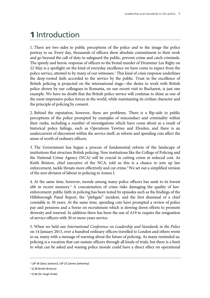# **1** Introduction

1. There are two sides to public perceptions of the police and to the image the police portray to us. Every day, thousands of officers show absolute commitment to their work and go beyond the call of duty to safeguard the public, prevent crime and catch criminals. The speedy and heroic response of officers to the brutal murder of Drummer Lee Rigby on 22 May is a spotlight on the kind of everyday excellence we have come to expect from the police service, attested to by many of our witnesses.<sup>1</sup> This kind of crisis response underlines the deep-rooted faith accorded to the service by the public. Trust in the excellence of British policing is projected on the international stage—the desire to work with British police shown by our colleagues in Romania, on our recent visit to Bucharest, is just one example. We have no doubt that the British police service will continue to shine as one of the most impressive police forces in the world, while maintaining its civilian character and the principle of policing by consent.

2. Behind the reputation, however, there are problems. There is a flip-side to public perceptions of the police prompted by examples of misconduct and criminality within their ranks, including a number of investigations which have come about as a result of historical police failings, such as Operations Yewtree and Elveden, and there is an undercurrent of discontent within the service itself, as reform and spending cuts affect the sense of worth of ordinary officers.

3. The Government has begun a process of fundamental reform of the landscape of institutions that structure British policing. New institutions like the College of Policing and the National Crime Agency (NCA) will be crucial in cutting crime at reduced cost. As Keith Bristow, chief executive of the NCA, told us this is a chance to join up law enforcement, tackle threats more effectively and cut crime.<sup>2</sup> We set out a simplified version of the new division of labour in policing in Annex I.

4. At the same time, however, morale among many police officers has sunk to its lowest ebb in recent memory.<sup>3</sup> A concatenation of crises risks damaging the quality of lawenforcement: public faith in policing has been tested by episodes such as the findings of the Hillsborough Panel Report, the "plebgate" incident, and the first dismissal of a chief constable in 30 years. At the same time, spending cuts have prompted a review of police pay and pensions and a freeze on recruitment which is slowing down efforts to promote diversity and renewal. In addition there has been the use of A19 to require the resignation of service officers with 30 or more years service.

5. When we held our *International Conference on Leadership and Standards in the Police* on 14 January 2013, over a hundred ordinary officers travelled to London and others wrote to us, many with a message of warning about the future of policing. As many reminded us, policing is a vocation that can sustain officers through all kinds of trials, but there is a limit to what can be asked and waning police morale could have a direct effect on operational

<sup>1</sup> LSP 30 [Gary Jackson]; LSP 23 [James Satherley]

<sup>2</sup> Q 28 [Keith Bristow]

<sup>&</sup>lt;sup>3</sup> Q 66 [Sir Hugh Orde]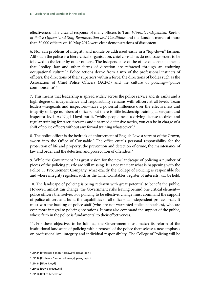effectiveness. The visceral response of many officers to Tom *Winsor's Independent Review of Police Officers' and Staff Remuneration and Conditions* and the London march of more than 30,000 officers on 10 May 2012 were clear demonstrations of discontent.

6. Nor can problems of integrity and morale be addressed easily in a "top-down" fashion. Although the police is a hierarchical organisation, chief constables do not issue orders to be followed to the letter by other officers. The independence of the office of constable means that "policy, law and other forms of direction are refracted through an enduring occupational culture".4 Police actions derive from a mix of the professional instincts of officers, the directions of their superiors within a force, the directions of bodies such as the Association of Chief Police Officers (ACPO) and the culture of policing—"police commonsense".5

7. This means that leadership is spread widely across the police service and its ranks and a high degree of independence and responsibility remains with officers at all levels. Team leaders—sergeants and inspectors—have a powerful influence over the effectiveness and integrity of large numbers of officers, but there is little leadership training at sergeant and inspector level. As Nigel Lloyd put it, "whilst people need a driving license to drive and regular training for taser, firearms and unarmed defensive tactics, you can be in charge of a shift of police officers without any formal training whatsoever".<sup>6</sup>

8. The police officer is the bedrock of enforcement of English Law: a servant of the Crown, sworn into the Office of Constable.<sup>7</sup> The office entails personal responsibility for the protection of life and property, the prevention and detection of crime, the maintenance of law and order and the detection and prosecution of offenders.<sup>8</sup>

9. While the Government has great vision for the new landscape of policing a number of pieces of the policing puzzle are still missing. It is not yet clear what is happening with the Police IT Procurement Company, what exactly the College of Policing is responsible for and where integrity registers, such as the Chief Constables' register of interests, will be held.

10. The landscape of policing is being redrawn with great potential to benefit the public. However, amidst this change, the Government risks leaving behind one critical element police officers themselves. For policing to be effective, change must command the support of police officers and build the capabilities of all officers as independent professionals. It must win the backing of police staff (who are not warranted police constables), who are ever-more integral to policing operations. It must also command the support of the public, whose faith in the police is fundamental to their effectiveness.

11. For these objectives to be fulfilled, the Government must match its reform of the institutional landscape of policing with a renewal of the police themselves: a new emphasis on professionalism, integrity and individual responsibility. The College of Policing will be

6 LSP 24 [Nigel Lloyd]

<sup>4</sup> LSP 34 [Professor Simon Holdaway], paragraph ii

<sup>5</sup> LSP 34 [Professor Simon Holdaway], paragraph ii

<sup>7</sup> LSP 03 [David Treadwell]

<sup>8</sup> LSP 14 [Police Federation]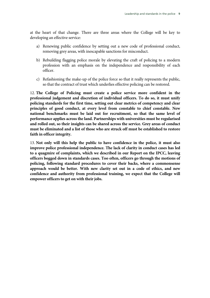at the heart of that change. There are three areas where the College will be key to developing an effective service:

- a) Renewing public confidence by setting out a new code of professional conduct, removing grey areas, with inescapable sanctions for misconduct.
- b) Rebuilding flagging police morale by elevating the craft of policing to a modern profession with an emphasis on the independence and responsibility of each officer.
- c) Refashioning the make-up of the police force so that it really represents the public, so that the contract of trust which underlies effective policing can be restored.

12. **The College of Policing must create a police service more confident in the professional judgement and discretion of individual officers. To do so, it must unify policing standards for the first time, setting out clear metrics of competency and clear principles of good conduct, at every level from constable to chief constable. New national benchmarks must be laid out for recruitment, so that the same level of performance applies across the land. Partnerships with universities must be regularised and rolled out, so their insights can be shared across the service. Grey areas of conduct must be eliminated and a list of those who are struck off must be established to restore faith in officer integrity.**

13. **Not only will this help the public to have confidence in the police, it must also improve police professional independence. The lack of clarity in conduct cases has led to a quagmire of complaints, which we described in our Report on the IPCC, leaving officers bogged down in standards cases. Too often, officers go through the motions of policing, following standard procedures to cover their backs, where a commonsense approach would be better. With new clarity set out in a code of ethics, and new confidence and authority from professional training, we expect that the College will empower officers to get on with their jobs.**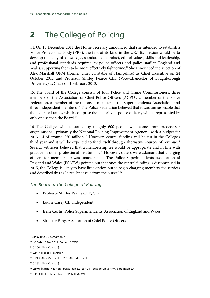# **2** The College of Policing

14. On 15 December 2011 the Home Secretary announced that she intended to establish a Police Professional Body (PPB), the first of its kind in the UK.<sup>9</sup> Its mission would be to develop the body of knowledge, standards of conduct, ethical values, skills and leadership, and professional standards required by police officers and police staff in England and Wales, supporting them to be more effectively fight crime.<sup>10</sup> She announced the selection of Alex Marshall QPM (former chief constable of Hampshire) as Chief Executive on 24 October 2012 and Professor Shirley Pearce CBE (Vice-Chancellor of Loughborough University) as Chair on 1 February 2013.

15. The board of the College consists of four Police and Crime Commissioners, three members of the Association of Chief Police Officers (ACPO), a member of the Police Federation, a member of the unions, a member of the Superintendents Association, and three independent members.<sup>11</sup> The Police Federation believed that it was unreasonable that the federated ranks, which comprise the majority of police officers, will be represented by only one seat on the Board.<sup>12</sup>

16. The College will be staffed by roughly 600 people who come from predecessor organisations—primarily the National Policing Improvement Agency—with a budget for 2013–14 of around  $£50$  million.<sup>13</sup> However, central funding will be cut in the College's third year and it will be expected to fund itself through alternative sources of revenue.<sup>14</sup> Several witnesses believed that a membership fee would be appropriate and in line with practice in other professional institutions.15 However, others were adamant that charging officers for membership was unacceptable. The Police Superintendents Association of England and Wales (PSAEW) pointed out that once the central funding is discontinued in 2015, the College is likely to have little option but to begin charging members for services and described this as "a red-line issue from the outset".<sup>16</sup>

# *The Board of the College of Policing*

- Professor Shirley Pearce CBE, Chair
- Louise Casey CB, Independent
- Irene Curtis, Police Superintendents' Association of England and Wales
- Sir Peter Fahy, Association of Chief Police Officers

<sup>9</sup> LSP 07 [PCSU], paragraph 7

<sup>10</sup> HC Deb, 15 Dec 2011, Column 126WS

<sup>11</sup> Q 206 [Alex Marshall]

<sup>&</sup>lt;sup>12</sup> LSP 14 [Police Federation]

<sup>13</sup> Q 243 [Alex Marshall]; Q 251 [Alex Marshall]

<sup>14</sup> Q 263 [Alex Marshall]

<sup>&</sup>lt;sup>15</sup> LSP 01 [Rachel Kearton], paragraph 3.9; LSP 04 [Teesside University], paragraph 2.4

<sup>16</sup> LSP 14 [Police Federation]; LSP 12 [PSAEW]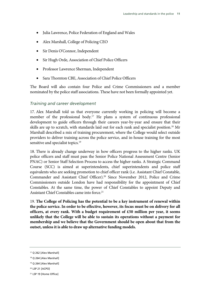- Julia Lawrence, Police Federation of England and Wales
- Alex Marshall, College of Policing CEO
- Sir Denis O'Connor, Independent
- Sir Hugh Orde, Association of Chief Police Officers
- Professor Lawrence Sherman, Independent
- Sara Thornton CBE, Association of Chief Police Officers

The Board will also contain four Police and Crime Commissioners and a member nominated by the police staff associations. These have not been formally appointed yet.

# *Training and career development*

17. Alex Marshall told us that everyone currently working in policing will become a member of the professional body.<sup>17</sup> He plans a system of continuous professional development to guide officers through their careers year-by-year and ensure that their skills are up to scratch, with standards laid out for each rank and specialist position.<sup>18</sup> Mr Marshall described a mix of training procurement, where the College would select outside providers to deliver training across the police service, and in-house training for the most sensitive and specialist topics.<sup>19</sup>

18. There is already change underway in how officers progress to the higher ranks. UK police officers and staff must pass the Senior Police National Assessment Centre (Senior PNAC) or Senior Staff Selection Process to access the higher ranks. A Strategic Command Course (SCC) is aimed at superintendents, chief superintendents and police staff equivalents who are seeking promotion to chief officer rank (i.e. Assistant Chief Constable, Commander and Assistant Chief Officer).20 Since November 2012, Police and Crime Commissioners outside London have had responsibility for the appointment of Chief Constables. At the same time, the power of Chief Constables to appoint Deputy and Assistant Chief Constables came into force.<sup>21</sup>

19. **The College of Policing has the potential to be a key instrument of renewal within the police service. In order to be effective, however, its focus must be on delivery for all officers, at every rank. With a budget requirement of £50 million per year, it seems unlikely that the College will be able to sustain its operations without a payment for membership and we believe that the Government should be open about that from the outset, unless it is able to draw up alternative funding models.** 

<sup>17</sup> Q 262 [Alex Marshall]

<sup>18</sup> Q 264 [Alex Marshall]

<sup>19</sup> Q 264 [Alex Marshall]

<sup>20</sup> LSP 21 [ACPO]

<sup>21</sup> LSP 19 [Home Office]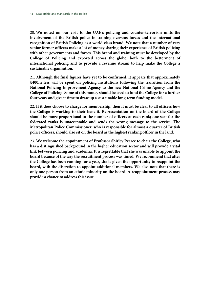20. **We noted on our visit to the UAE's policing and counter-terrorism units the involvement of the British police in training overseas forces and the international recognition of British Policing as a world-class brand. We note that a number of very senior former officers make a lot of money sharing their experience of British policing with other governments and forces. This brand and training must be developed by the College of Policing and exported across the globe, both to the betterment of international policing and to provide a revenue stream to help make the College a sustainable organisation.**

21. **Although the final figures have yet to be confirmed, it appears that approximately £400m less will be spent on policing institutions following the transition from the National Policing Improvement Agency to the new National Crime Agency and the College of Policing. Some of this money should be used to fund the College for a further four years and give it time to draw up a sustainable long-term funding model.**

22. **If it does choose to charge for membership, then it must be clear to all officers how the College is working to their benefit. Representation on the board of the College should be more proportional to the number of officers at each rank; one seat for the federated ranks is unacceptable and sends the wrong message to the service. The Metropolitan Police Commissioner, who is responsible for almost a quarter of British police officers, should also sit on the board as the highest ranking officer in the land.**

23. **We welcome the appointment of Professor Shirley Pearce to chair the College, who has a distinguished background in the higher education sector and will provide a vital link between policing and academia. It is regrettable that she was unable to appoint the board because of the way the recruitment process was timed. We recommend that after the College has been running for a year, she is given the opportunity to reappoint the board, with the discretion to appoint additional members. We also note that there is only one person from an ethnic minority on the board. A reappointment process may provide a chance to address this issue.**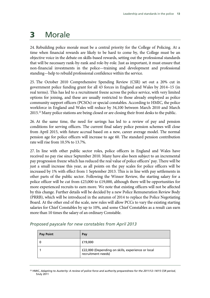# **3** Morale

24. Rebuilding police morale must be a central priority for the College of Policing. At a time when financial rewards are likely to be hard to come by, the College must be an objective voice in the debate on skills-based rewards, setting out the professional standards that will be necessary rank-by-rank and role-by-role. Just as important, it must ensure that non-financial investments in the police—training and development and professional standing—help to rebuild professional confidence within the service.

25. The October 2010 Comprehensive Spending Review (CSR) set out a 20% cut in government police funding grant for all 43 forces in England and Wales by 2014−15 (in real terms). This has led to a recruitment freeze across the police service, with very limited options for joining, and these are usually restricted to those already employed as police community support officers (PCSOs) or special constables. According to HMIC, the police workforce in England and Wales will reduce by 34,100 between March 2010 and March 2015.<sup>22</sup> Many police stations are being closed or are closing their front desks to the public.

26. At the same time, the need for savings has led to a review of pay and pension conditions for serving officers. The current final salary police pension schemes will close from April 2015, with future accrual based on a new, career average model. The normal pension age for police officers will increase to age 60. The standard pension contribution rate will rise from 10.5% to 13.7%.

27. In line with other public sector roles, police officers in England and Wales have received no pay rise since September 2010. Many have also been subject to an incremental pay progression freeze which has reduced the real value of police officers' pay. There will be just a small increase this year, as all points on the pay scales for police officers will be increased by 1% with effect from 1 September 2013. This is in line with pay settlements in other parts of the public sector. Following the Winsor Review, the starting salary for a police officer will be cut from £23,000 to £19,000, although there will be opportunities for more experienced recruits to earn more. We note that existing officers will not be affected by this change. Further details will be decided by a new Police Remuneration Review Body (PRRB), which will be introduced in the autumn of 2014 to replace the Police Negotiating Board. At the other end of the scale, new rules will allow PCCs to vary the existing starting salaries for Chief Constables by up to 10%, and some Chief Constables as a result can earn more than 10 times the salary of an ordinary Constable.

| <b>Pay Point</b> | Pay                                                                     |
|------------------|-------------------------------------------------------------------------|
|                  | £19,000                                                                 |
|                  | £22,000 (Depending on skills, experience or local<br>recruitment needs) |

### *Proposed payscale for new constables from April 2013*

22 HMIC, *Adapting to Austerity: A review of police force and authority preparedness for the 2011/12–14/15 CSR period*, 5July 2011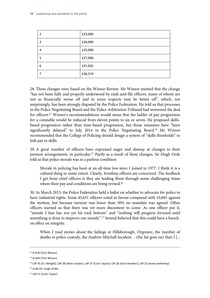| 2 | £23,000 |
|---|---------|
| 3 | £24,000 |
| 4 | £25,000 |
| 5 | £27,000 |
| 6 | £31,032 |
|   | £36,519 |

28. These changes were based on the Winsor Review. Mr Winsor insisted that the change "has not been fully and properly understood by rank-and-file officers, many of whom are not as financially worse off and in some respects may be better off", which, not surprisingly, has been strongly disputed by the Police Federation. He told us that processes in the Police Negotiating Board and the Police Arbitration Tribunal had worsened the deal for officers.23 Winsor's recommendations would mean that the ladder of pay progression for a constable would be reduced from eleven points to six or seven. He proposed skillsbased progression rather than time-based progression, but those measures have "been significantly delayed" to July 2014 in the Police Negotiating Board.<sup>24</sup> Mr Winsor recommended that the College of Policing should design a system of "skills thresholds" to link pay to skills.

29. A great number of officers have expressed anger and dismay at changes to their pension arrangements, in particular.25 Partly as a result of these changes, Sir Hugh Orde told us that police morale was in a parlous condition:

Morale in policing has been at an all-time low since I joined in 1977. I think it is a cultural thing to some extent. Clearly, frontline officers are concerned. The feedback I get from chief officers is they are leading them through some challenging times where their pay and conditions are being revised.<sup>26</sup>

30. In March 2013, the Police Federation held a ballot on whether to advocate for police to have industrial rights. Some 45,631 officers voted in favour compared with 10,681 against the motion, but because turnout was lower than 50% no mandate was agreed. Other officers warned us that there was yet more discontent to come. As one officer put it, "morale I fear has not yet hit rock bottom" and "nothing will progress forward until something is done to improve our morale".<sup>27</sup> Several believed that this could have a knockon effect on integrity.

When I read stories about the failings at Hillsborough, Orgreave, the number of deaths in police custody, the Andrew Mitchell incident….(the list goes on) then I [...

<sup>&</sup>lt;sup>23</sup> Q 618 [Tom Winsor]

<sup>&</sup>lt;sup>24</sup> Q 604 [Tom Winsor]

<sup>25</sup> LSP 35 [A J Wright]; LSP 28 [Allen Jordan]; LSP 27 [Colin Taylor]; LSP 26 [Chris Panther]; LSP 23 [James Satherley]

<sup>&</sup>lt;sup>26</sup> Q 66 [Sir Hugh Orde]

<sup>&</sup>lt;sup>27</sup> LSP 27 [Colin Taylor]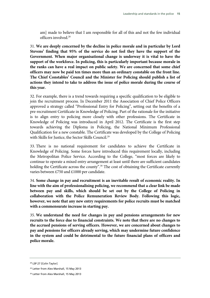am] made to believe that I am responsible for all of this and not the few individual officers involved.28

31. **We are deeply concerned by the decline in police morale and in particular by Lord Stevens' finding that 95% of the service do not feel they have the support of the Government. When major organisational change is underway it is vital to have the support of the workforce. In policing, this is particularly important because morale in the ranks can have a real impact on public safety. We are concerned that some chief officers may now be paid ten times more than an ordinary constable on the front line. The Chief Constables' Council and the Minister for Policing should publish a list of actions they intend to take to address the issue of police morale during the course of this year.**

32. For example, there is a trend towards requiring a specific qualification to be eligible to join the recruitment process. In December 2011 the Association of Chief Police Officers approved a strategy called "Professional Entry for Policing", setting out the benefits of a pre-recruitment Certificate in Knowledge of Policing. Part of the rationale for the initiative is to align entry to policing more closely with other professions. The Certificate in Knowledge of Policing was introduced in April 2012. The Certificate is the first step towards achieving the Diploma in Policing, the National Minimum Professional Qualification for a new constable. The Certificate was developed by the College of Policing with Skills for Justice, the Sector Skills Council.<sup>29</sup>

33. There is no national requirement for candidates to achieve the Certificate in Knowledge of Policing. Some forces have introduced this requirement locally, including the Metropolitan Police Service. According to the College, "most forces are likely to continue to operate a mixed entry arrangement at least until there are sufficient candidates holding the Certificate across the county".<sup>30</sup> The cost of obtaining the Certificate currently varies between £750 and £1000 per candidate.

34. **Some change in pay and recruitment is an inevitable result of economic reality. In line with the aim of professionalising policing, we recommend that a clear link be made between pay and skills, which should be set out by the College of Policing in collaboration with the Police Remuneration Review Body. Following this logic, however, we note that any new entry requirements for police recruits must be matched with a commensurate increase in starting pay.** 

35. **We understand the need for changes in pay and pensions arrangements for new recruits to the force due to financial constraints. We note that there are no changes to the accrued pensions of serving officers. However, we are concerned about changes to pay and pensions for officers already serving, which may undermine future confidence in the system and could be detrimental to the future financial plans of officers and police morale.**

<sup>&</sup>lt;sup>28</sup> LSP 27 [Colin Taylor]

<sup>&</sup>lt;sup>29</sup> Letter from Alex Marshall, 15 May 2013

<sup>&</sup>lt;sup>30</sup> Letter from Alex Marshall, 15 May 2013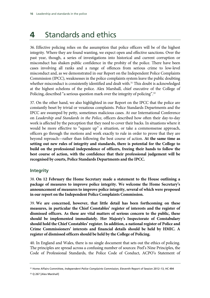# **4** Standards and ethics

36. Effective policing relies on the assumption that police officers will be of the highest integrity. Where they are found wanting, we expect open and effective sanctions. Over the past year, though, a series of investigations into historical and current corruption or misconduct has shaken public confidence in the probity of the police. There have been cases involving all ranks and a range of offences from serious crime to low-level misconduct and, as we demonstrated in our Report on the Independent Police Complaints Commission (IPCC), weaknesses in the police complaints system leave the public doubting whether misconduct is consistently identified and dealt with.<sup>31</sup> This doubt is acknowledged at the highest echelons of the police. Alex Marshall, chief executive of the College of Policing, described "a serious question mark over the integrity of policing".<sup>32</sup>

37. On the other hand, we also highlighted in our Report on the IPCC that the police are constantly beset by trivial or vexatious complaints. Police Standards Departments and the IPCC are swamped by petty, sometimes malicious cases. At our International Conference on *Leadership and Standards in the Police*, officers described how often their day-to-day work is affected by the perception that they need to cover their backs. In situations where it would be more effective to "square up" a situation, or take a commonsense approach, officers go through the motions and work exactly to rule in order to prove that they are beyond reproach—rather than following the best course of action. **At the same time as setting out new rules of integrity and standards, there is potential for the College to build on the professional independence of officers, freeing their hands to follow the best course of action, with the confidence that their professional judgement will be recognised by courts, Police Standards Departments and the IPCC.**

# **Integrity**

38. **On 12 February the Home Secretary made a statement to the House outlining a package of measures to improve police integrity. We welcome the Home Secretary's announcement of measures to improve police integrity, several of which were proposed in our report on the Independent Police Complaints Commission.**

39. **We are concerned, however, that little detail has been forthcoming on these measures, in particular the Chief Constables' register of interests and the register of dismissed officers. As these are vital matters of serious concern to the public, these should be implemented immediately. Her Majesty's Inspectorate of Constabulary should hold the Chief Constables' register. In addition, a national register of Police and Crime Commissioners' interests and financial details should be held by HMIC. A register of dismissed officers should be held by the College of Policing.**

40. In England and Wales, there is no single document that sets out the ethics of policing. The principles are spread across a confusing number of sources: Peel's Nine Principles, the Code of Professional Standards, the Police Code of Conduct, ACPO's Statement of

<sup>31</sup> Home Affairs Committee, *Independent Police Complaints Commission*, Eleventh Report of Session 2012–13, HC 494

<sup>&</sup>lt;sup>32</sup> Q 267 [Alex Marshall]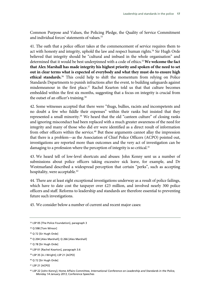Common Purpose and Values, the Policing Pledge, the Quality of Service Commitment and individual forces' statements of values.<sup>33</sup>

41. The oath that a police officer takes at the commencement of service requires them to act with honesty and integrity, uphold the law and respect human rights.<sup>34</sup> Sir Hugh Orde believed that integrity should be "cultural and imbued in the whole organisation" and determined that it would be best underpinned with a code of ethics.35 **We welcome the fact that Alex Marshall has made integrity his highest priority and spoken of the need to set out in clear terms what is expected of everybody and what they must do to ensure high ethical standards.**36 This could help to shift the momentum from relying on Police Standards Departments to punish infractions after the event, to building safeguards against misdemeanour in the first place.<sup>37</sup> Rachel Kearton told us that that culture becomes embedded within the first six months, suggesting that a focus on integrity is crucial from the outset of an officer's training.38

42. Some witnesses accepted that there were "thugs, bullies, racists and incompetents and no doubt a few who fiddle their expenses" within their ranks but insisted that they represented a small minority.<sup>39</sup> We heard that the old "canteen culture" of closing ranks and ignoring misconduct had been replaced with a much greater awareness of the need for integrity and many of those who did err were identified as a direct result of information from other officers within the service.<sup>40</sup> But these arguments cannot allay the impression that there is a problem—as the Association of Chief Police Officers (ACPO) pointed out, investigations are reported more than outcomes and the very act of investigation can be damaging to a profession where the perception of integrity is so critical.<sup>41</sup>

43. We heard tell of low-level shortcuts and abuses: John Kenny sent us a number of submissions about police officers taking excessive sick leave, for example, and Dr Westmarland described a widespread perception that certain "perks", such as accepting hospitality, were acceptable.<sup>42</sup>

44. There are at least eight exceptional investigations underway as a result of police failings, which have to date cost the taxpayer over £23 million, and involved nearly 300 police officers and staff. Reforms to leadership and standards are therefore essential to preventing future such investigations.

45. We consider below a number of current and recent major cases:

<sup>33</sup> LSP 05 [The Police Foundation], paragraph 3

<sup>&</sup>lt;sup>34</sup> O 598 [Tom Winsor]

<sup>&</sup>lt;sup>35</sup> Q 72 [Sir Hugh Orde]

<sup>36</sup> Q 204 [Alex Marshall]; Q 266 [Alex Marshall]

<sup>&</sup>lt;sup>37</sup> Q 78 [Sir Hugh Orde]

<sup>38</sup> LSP 01 [Rachel Kearton], paragraph 3.6

<sup>39</sup> LSP 35 [A J Wright]; LSP 21 [ACPO]

<sup>40</sup> Q 72 [Sir Hugh Orde]

<sup>41</sup> LSP 21 [ACPO]

<sup>42</sup> LSP 22 [John Kenny]; Home Affairs Committee*, International Conference on Leadership and Standards in the Police, Monday 14 January 2013*, Conference Speeches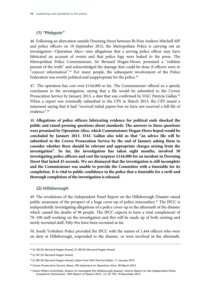# *(1) "Plebgate"*

46. Following an altercation outside Downing Street between Rt Hon Andrew Mitchell MP and police officers on 19 September 2012, the Metropolitan Police is carrying out an investigation—Operation Alice—into allegations that a serving police officer may have fabricated an account of events and that police logs were leaked to the press. The Metropolitan Police Commissioner, Sir Bernard Hogan-Howe, promised a "ruthless pursuit of the truth" and acknowledged the damage that could be done if officers were to "concoct information".43 For many people, the subsequent involvement of the Police Federation was overtly political and inappropriate for the police.<sup>44</sup>

47. The operation has cost over £144,000 so far. The Commissioner offered us a speedy conclusion to the investigation, saying that a file would be submitted to the Crown Prosecution Service by January 2013, a date that was confirmed by DAC Patricia Gallan.<sup>45</sup> When a report was eventually submitted to the CPS in March 2013, the CPS issued a statement saying that it had "received initial papers but we have not received a full file of evidence".46

48. **Allegations of police officers fabricating evidence for political ends shocked the public and raised pressing questions about standards. The answers to those questions were promised by Operation Alice, which Commissioner Hogan-Howe hoped would be concluded by January 2013. DAC Gallan also told us that "an advice file will be submitted to the Crown Prosecution Service by the end of January asking them to consider whether there should be relevant and appropriate charges arising from the investigation". So far, the investigation has taken eight months, involved 30 investigating police officers and cost the taxpayer £144,000 for an incident in Downing Street that lasted 45 seconds. We are dismayed that the investigation is still incomplete and the Commissioner was unable to provide the Committee with a timetable for its completion. It is vital to public confidence in the police that a timetable for a swift and thorough completion of the investigation is released.**

# *(2) Hillsborough*

49. The revelations of the Independent Panel Report on the Hillsborough Disaster raised public awareness of the prospect of a huge cover-up of police misconduct.<sup>47</sup> The IPCC is independently investigating allegations of a police cover-up in the aftermath of the disaster which caused the deaths of 96 people. The IPCC expects to have a total complement of 70−100 staff working on the investigation and this will be made up of both existing and newly recruited staff. Fifty-five have been recruited so far.

50. South Yorkshire Police provided the IPCC with the names of 1,444 officers who were on duty at Hillsborough, responded to the disaster, or were involved in the aftermath.

<sup>43</sup> Q 120 [Sir Bernard Hogan-Howe]; Q 160 [Sir Bernard Hogan-Howe]

<sup>44</sup> Q 147 [Sir Bernard Hogan-Howe]

<sup>45</sup> Q 185 [Sir Bernard Hogan-Howe]; Letter from DAC Patricia Gallan, 11 January 2013

<sup>46</sup> Crown Prosecution Service, News, CPS statement on Operation Alice, 28 March 2013

<sup>47</sup> Home Affairs Committee, *Powers to investigate the Hillsborough disaster: interim Report on the Independent Police Complaints Commission,* 10th Report of Session 2012−13, HC 793, 10 December 2012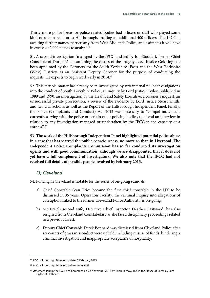Thirty more police forces or police-related bodies had officers or staff who played some kind of role in relation to Hillsborough, making an additional 400 officers. The IPCC is awaiting further names, particularly from West Midlands Police, and estimates it will have in excess of 2,000 names to analyse.<sup>48</sup>

51. A second investigation (managed by the IPCC and led by Jon Stoddart, former Chief Constable of Durham) is examining the causes of the tragedy. Lord Justice Goldring has been appointed by the Coroners for the South Yorkshire (East) and the West Yorkshire (West) Districts as an Assistant Deputy Coroner for the purpose of conducting the inquests. He expects to begin work early in 2014.<sup>49</sup>

52. This terrible matter has already been investigated by two internal police investigations into the conduct of South Yorkshire Police; an inquiry by Lord Justice Taylor, published in 1989 and 1990; an investigation by the Health and Safety Executive; a coroner's inquest; an unsuccessful private prosecution; a review of the evidence by Lord Justice Stuart Smith; and two civil actions, as well as the Report of the Hillsborough Independent Panel. Finally, the Police (Complaints and Conduct) Act 2012 was necessary to "compel individuals currently serving with the police or certain other policing bodies, to attend an interview in relation to any investigation managed or undertaken by the IPCC in the capacity of a witness".<sup>50</sup>

53. **The work of the Hillsborough Independent Panel highlighted potential police abuse in a case that has scarred the public consciousness, no more so than in Liverpool. The Independent Police Complaints Commission has so far conducted its investigation openly and with good communication, although we are disappointed that it does not yet have a full complement of investigators. We also note that the IPCC had not received full details of possible people involved by February 2013.**

# *(3) Cleveland*

54. Policing in Cleveland is notable for the series of on-going scandals:

- a) Chief Constable Sean Price became the first chief constable in the UK to be dismissed in 35 years. Operation Sacristy, the criminal inquiry into allegations of corruption linked to the former Cleveland Police Authority, is on-going.
- b) Mr Price's second wife, Detective Chief Inspector Heather Eastwood, has also resigned from Cleveland Constabulary as she faced disciplinary proceedings related to a previous arrest.
- c) Deputy Chief Constable Derek Bonnard was dismissed from Cleveland Police after six counts of gross misconduct were upheld, including misuse of funds, hindering a criminal investigation and inappropriate acceptance of hospitality.

<sup>48</sup> IPCC, Hillsborough Disaster Update, 2 February 2013

<sup>49</sup> IPCC, Hillsborough Disaster Update, June 2013

<sup>50</sup> Statement laid in the House of Commons on 22 November 2012 by Theresa May, and in the House of Lords by Lord Taylor of Holbeach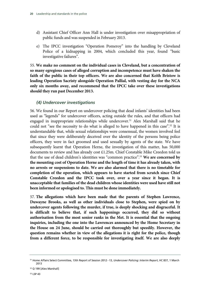- d) Assistant Chief Officer Ann Hall is under investigation over misappropriation of public funds and was suspended in February 2013.
- e) The IPCC investigation "Operation Pomeroy" into the handling by Cleveland Police of a kidnapping in 2004, which concluded this year, found "basic investigative failures".

55. **We make no comment on the individual cases in Cleveland, but a concentration of so many egregious cases of alleged corruption and incompetence must have shaken the faith of the public in their top officers. We are also concerned that Keith Bristow is leading Operation Sacristy alongside Operation Pallial, with vesting day for the NCA only six months away, and recommend that the IPCC take over these investigations should they run past December 2013.**

# *(4) Undercover investigations*

56. We found in our Report on undercover policing that dead infants' identities had been used as "legends" for undercover officers, acting outside the rules, and that officers had engaged in inappropriate relationships while undercover.<sup>51</sup> Alex Marshall said that he could not "see the necessity to do what is alleged to have happened in this case".52 It is understandable that, while sexual relationships were consensual, the women involved feel that since they were deliberately deceived over the identity of the persons being police officers, they were in fact groomed and used sexually by agents of the state. We have subsequently learnt that Operation Herne, the investigation of this matter, has 50,000 documents to review and has already cost £1.25m. Chief Constable Mike Creedon told us that the use of dead children's identities was "common practice".53 **We are concerned by the mounting cost of Operation Herne and the length of time it has already taken, with no arrests or suspensions to date. We are also alarmed that there is no timetable for completion of the operation, which appears to have started from scratch since Chief Constable Creedon and the IPCC took over, over a year since it began. It is unacceptable that families of the dead children whose identities were used have still not been informed or apologised to. This must be done immediately.**

57. **The allegations which have been made that the parents of Stephen Lawrence, Duwayne Brooks, as well as other individuals close to Stephen, were spied on by undercover agents following the murder, if true, is deeply shocking and disgraceful. It is difficult to believe that, if such happenings occurred, they did so without authorisation from the most senior ranks in the Met. It is essential that the ongoing inquiries, including the one into the Lawrences announced by the Home Secretary in the House on 24 June, should be carried out thoroughly but speedily. However, the question remains whether in view of the allegations it is right for the police, though from a different force, to be responsible for investigating itself. We are also deeply** 

<sup>51</sup> Home Affairs Select Committee, 13th Report of Session 2012−13, *Undercover Policing: Interim Report*, HC 837, 1 March 2013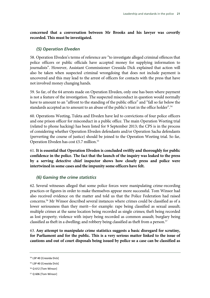**concerned that a conversation between Mr Brooks and his lawyer was covertly recorded. This must be investigated.** 

# *(5) Operation Elveden*

58. Operation Elveden's terms of reference are "to investigate alleged criminal offences that police officers or public officials have accepted money for supplying information to journalists". However, Assistant Commissioner Cressida Dick explained that action will also be taken when suspected criminal wrongdoing that does not include payment is uncovered and this may lead to the arrest of officers for contacts with the press that have not involved money changing hands.

59. So far, of the 64 arrests made on Operation Elveden, only one has been where payment is not a feature of the investigation. The suspected misconduct in question would normally have to amount to an "affront to the standing of the public office" and "fall so far below the standards accepted as to amount to an abuse of the public's trust in the office holder".<sup>54</sup>

60. Operations Weeting, Tuleta and Elveden have led to convictions of four police officers and one prison officer for misconduct in a public office. The main Operation Weeting trial (related to phone hacking) has been listed for 9 September 2013; the CPS is in the process of considering whether Operation Elveden defendants and/or Operation Sacha defendants (perverting the course of justice) should be joined to the Operation Weeting trial. So far, Operation Elveden has cost £5.7 million.<sup>55</sup>

61. **It is essential that Operation Elveden is concluded swiftly and thoroughly for public confidence in the police. The fact that the launch of the inquiry was leaked to the press by a serving detective chief inspector shows how closely press and police were intertwined in some cases and the impunity some officers have felt.**

# *(6) Gaming the crime statistics*

62. Several witnesses alleged that some police forces were manipulating crime-recording practices or figures in order to make themselves appear more successful. Tom Winsor had also received evidence on the matter and told us that the Police Federation had raised concerns.56 Mr Winsor described several instances where crimes could be classified as of a lower seriousness than they merit—for example: rape being classified as sexual assault; multiple crimes at the same location being recorded as single crimes; theft being recorded as lost property; violence with injury being recorded as common assault; burglary being classified as theft in a dwelling; and robbery being classified as theft from a person.<sup>57</sup>

63. **Any attempt to manipulate crime statistics suggests a basic disregard for scrutiny, for Parliament and for the public. This is a very serious matter linked to the issue of cautions and out of court disposals being issued by police so a case can be classified as** 

<sup>54</sup> LSP 40 [Cressida Dick]

<sup>&</sup>lt;sup>55</sup> LSP 40 [Cressida Dick]

<sup>56</sup> Q 612 [Tom Winsor]

<sup>57</sup> Q 606 [Tom Winsor]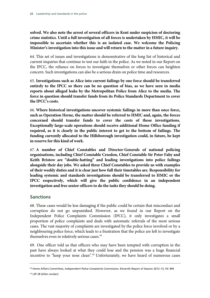**solved. We also note the arrest of several officers in Kent under suspicion of doctoring crime statistics. Until a full investigation of all forces is undertaken by HMIC, it will be impossible to ascertain whether this is an isolated case. We welcome the Policing Minister's investigation into this issue and will return to the matter in a future inquiry.**

64. This set of issues and investigations is demonstrative of the long list of historical and current inquiries that continue to test our faith in the police. As we noted in our Report on the IPCC, the reliance on forces to investigate themselves or other forces can heighten concern. Such investigations can also be a serious drain on police time and resources.

65. **Investigations such as Alice into current failings by one force should be transferred entirely to the IPCC so there can be no question of bias, as we have seen in media reports about alleged leaks by the Metropolitan Police from Alice to the media. The force in question should transfer funds from its Police Standards Department to cover the IPCC's costs.** 

66. **Where historical investigations uncover systemic failings in more than once force, such as Operation Herne, the matter should be referred to HMIC and, again, the forces concerned should transfer funds to cover the costs of those investigations. Exceptionally large-scale operations should receive additional Home Office funding if required, as it is clearly in the public interest to get to the bottom of failings. The funding currently allocated to the Hillsborough investigation could, in future, be kept in reserve for this kind of work.**

67. **A number of Chief Constables and Director-Generals of national policing organisations, including Chief Constable Creedon, Chief Constable Sir Peter Fahy and Keith Bristow are "double-hatting" and leading investigations into police failings alongside their day jobs. We asked three Chief Constables to provide us with examples of their weekly duties and it is clear just how full their timetables are. Responsibility for leading systemic and standards investigations should be transferred to HMIC or the IPCC respectively, which will give the public confidence in an independent investigation and free senior officers to do the tasks they should be doing.**

# **Sanctions**

68. These cases would be less damaging if the public could be certain that misconduct and corruption do not go unpunished. However, as we found in our Report on the Independent Police Complaints Commission (IPCC), it only investigates a small proportion of police complaints and deals with automatic referrals of the most serious cases. The vast majority of complaints are investigated by the police force involved or by a neighbouring police force, which leads to a frustration that the police are left to investigate themselves even in relatively serious cases.58

69. One officer told us that officers who may have been tempted with corruption in the past have always looked at what they could lose and the pension was a huge financial incentive to "keep your nose clean".59 Unfortunately, we have heard of numerous cases

<sup>58</sup> Home Affairs Committee, *Independent Police Complaints Commission*, Eleventh Report of Session 2012–13, HC 494

<sup>59</sup> LSP 28 [Allen Jordan]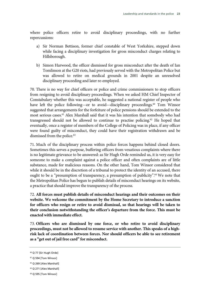where police officers retire to avoid disciplinary proceedings, with no further repercussions:

- a) Sir Norman Bettison, former chief constable of West Yorkshire, stepped down while facing a disciplinary investigation for gross misconduct charges relating to Hillsborough.
- b) Simon Harwood, the officer dismissed for gross misconduct after the death of Ian Tomlinson at the G20 riots, had previously served with the Metropolitan Police but was allowed to retire on medical grounds in 2001 despite an unresolved disciplinary proceeding and later re-employed.

70. There is no way for chief officers or police and crime commissioners to stop officers from resigning to avoid disciplinary proceedings. When we asked HM Chief Inspector of Constabulary whether this was acceptable, he suggested a national register of people who have left the police following—or to avoid—disciplinary proceedings.<sup>60</sup> Tom Winsor suggested that arrangements for the forfeiture of police pensions should be extended to the most serious cases.61 Alex Marshall said that it was his intention that somebody who had transgressed should not be allowed to continue to practise policing.62 He hoped that eventually, once a register of members of the College of Policing was in place, if any officer were found guilty of misconduct, they could have their registration withdrawn and be dismissed from the police.<sup>63</sup>

71. Much of the disciplinary process within police forces happens behind closed doors. Sometimes this serves a purpose, buffering officers from vexatious complaints where there is no legitimate grievance to be answered: as Sir Hugh Orde reminded us, it is very easy for someone to make a complaint against a police officer and often complaints are of little substance, made for malicious reasons. On the other hand, Tom Winsor considered that while it should be in the discretion of a tribunal to protect the identity of an accused, there ought to be a "presumption of transparency, a presumption of publicity".<sup>64</sup> We note that the Metropolitan Police has begun to publish details of misconduct hearings on its website, a practice that should improve the transparency of the process.

72. **All forces must publish details of misconduct hearings and their outcomes on their website. We welcome the commitment by the Home Secretary to introduce a sanction for officers who resign or retire to avoid dismissal, so that hearings will be taken to their conclusion notwithstanding the officer's departure from the force. This must be enacted with immediate effect.**

73. **Officers who are dismissed by one force, or who retire to avoid disciplinary proceedings, must not be allowed to resume service with another. This speaks of a highrisk lack of coordination between forces. Nor should officers be able to see retirement as a "get out of jail free card" for misconduct.**

<sup>60</sup> Q 77 [Sir Hugh Orde]

<sup>&</sup>lt;sup>61</sup> Q 594 [Tom Winsor]

<sup>62</sup> Q 269 [Alex Marshall]

<sup>63</sup> Q 271 [Alex Marshall]

<sup>&</sup>lt;sup>64</sup> Q 595 [Tom Winsor]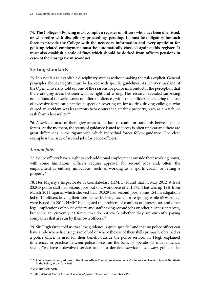74. **The College of Policing must compile a register of officers who have been dismissed, or who retire with disciplinary proceedings pending. It must be obligatory for each force to provide the College with the necessary information and every applicant for policing-related employment must be automatically checked against this register. It must also establish a scale of fines which should be docked from officers pensions in cases of the most grave misconduct.** 

# **Setting standards**

75. It is not fair to establish a disciplinary system without making the rules explicit. General principles about integrity must be backed with specific guidelines. As Dr Westmarland of the Open University told us, one of the reasons for police misconduct is the perception that there are grey areas between what is right and wrong. Her research revealed surprising evaluations of the seriousness of different offences, with some officers considering that use of excessive force on a captive suspect or covering up for a drink driving colleague who caused an accident was less serious behaviours than stealing property, such as a watch, or cash from a lost wallet.<sup>65</sup>

76. A serious cause of these grey areas is the lack of common standards between police forces. At the moment, the status of guidance issued to forces is often unclear and there are great differences in the rigour with which individual forces follow guidance. One clear example is the issue of second jobs for police officers.

# *Second jobs*

77. Police officers have a right to seek additional employment outside their working hours, with some limitations. Officers require approval for second jobs and, often, the employment is entirely innocuous, such as working as a sports coach, or letting a property.66

78. Her Majesty's Inspectorate of Constabulary (HMIC) found that in May 2012 at least 23,043 police staff had second jobs out of a workforce of 201,575. That was up 19% from March 2011 figures, which showed that 19,329 had second jobs. Some 154 investigations led to 10 officers leaving their jobs, either by being sacked or resigning, while 65 warnings were issued. In 2011, HMIC highlighted the problem of conflicts of interest, tax and other legal implications of police officers and staff having second jobs or other business interests, but there are currently 23 forces that do not check whether they are currently paying companies that are run by their own officers.<sup>67</sup>

79. Sir Hugh Orde told us that "the guidance is quite specific" and that no police officer can have a role where licensing is involved or where the use of their skills primarily obtained as a police officer is used for their benefit outside the police service. Sir Hugh explained differences in practice between police forces on the basis of operational independence, saying "we have a devolved service, and in a devolved service it is always going to be

<sup>&</sup>lt;sup>65</sup> Dr Louise Westmarland, address to the Home Affairs Committee International Conference on Leadership and Standards in the Police, 14 January 2013

<sup>66</sup> Q 84 [Sir Hugh Orde]

<sup>67</sup> HMIC, *Without fear or favour: A review of police relationships*, December 2011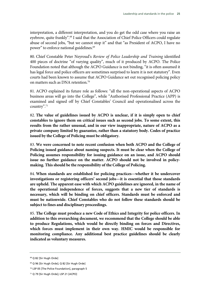interpretation, a different interpretation, and you do get the odd case where you raise an evebrow, quite frankly".<sup>68</sup> I said that the Association of Chief Police Officers could regulate abuse of second jobs, "but we cannot stop it" and that "as President of ACPO, I have no power" to enforce national guidelines.69

80. Chief Constable Peter Neyroud's *Review of Police Leadership and Training* identified 400 pieces of doctrine "of varying quality", much of it produced by ACPO. The Police Foundation noted that although the ACPO Guidance is not binding, "it is often assumed it has legal force and police officers are sometimes surprised to learn it is not statutory". Even courts had been known to assume that ACPO Guidance set out recognised policing policy on matters such as DNA retention.70

81. ACPO explained its future role as follows: "all the non-operational aspects of ACPO business areas will go into the College", while "Authorised Professional Practice (APP) is examined and signed off by Chief Constables' Council and operationalised across the country".71

82. **The value of guidelines issued by ACPO is unclear, if it is simply open to chief constables to ignore them on critical issues such as second jobs. To some extent, this results from the rather unusual, and in our view inappropriate, nature of ACPO as a private company limited by guarantee, rather than a statutory body. Codes of practice issued by the College of Policing must be obligatory.**

83. **We were concerned to note recent confusion when both ACPO and the College of Policing issued guidance about naming suspects. It must be clear when the College of Policing assumes responsibility for issuing guidance on an issue, and ACPO should issue no further guidance on the matter. ACPO should not be involved in policymaking. This should be the responsibility of the College of Policing.**

84. **When standards are established for policing practices—whether it be undercover investigations or registering officers' second jobs—it is essential that those standards are upheld. The apparent ease with which ACPO guidelines are ignored, in the name of the operational independence of forces, suggests that a new tier of standards is necessary, which will be binding on chief officers. Standards must be enforced and must be nationwide. Chief Constables who do not follow these standards should be subject to fines and disciplinary proceedings.**

85. **The College must produce a new Code of Ethics and Integrity for police officers. In addition to this overarching document, we recommend that the College should be able to produce Regulations, which would be directly binding on forces and Directives, which forces must implement in their own way. HMIC would be responsible for monitoring compliance. Any additional best practice guidelines should be clearly indicated as voluntary measures.**

<sup>68</sup> Q 82 [Sir Hugh Orde]

<sup>69</sup> Q 96 [Sir Hugh Orde]; Q 82 [Sir Hugh Orde]

<sup>70</sup> LSP 05 [The Police Foundation], paragraph 5

<sup>71</sup> Q 79 [Sir Hugh Orde]; LSP 21 [ACPO]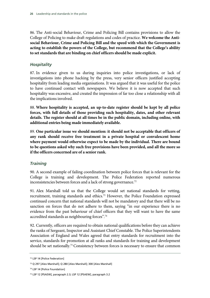86. The Anti-social Behaviour, Crime and Policing Bill contains provisions to allow the College of Policing to make draft regulations and codes of practice. **We welcome the Antisocial Behaviour, Crime and Policing Bill and the speed with which the Government is acting to establish the powers of the College, but recommend that the College's ability to set standards that are binding on chief officers should be made explicit.**

# *Hospitality*

87. In evidence given to us during inquiries into police investigations, or lack of investigations into phone hacking by the press, very senior officers justified accepting hospitality from leading media organisations. It was argued that it was useful for the police to have continued contact with newspapers. We believe it is now accepted that such hospitality was excessive, and created the impression of far too close a relationship with all the implications involved.

88. **Where hospitality is accepted, an up-to-date register should be kept by all police forces, with full details of those providing such hospitality, dates, and other relevant details. The register should at all times be in the public domain, including online, with additional entries being made immediately available.**

89. **One particular issue we should mention: it should not be acceptable that officers of any rank should receive free treatment in a private hospital or convalescent home where payment would otherwise expect to be made by the individual. There are bound to be questions asked why such free provisions have been provided, and all the more so if the officers concerned are of a senior rank.**

# *Training*

90. A second example of failing coordination between police forces that is relevant for the College is training and development. The Police Federation reported numerous inconsistencies between forces and a lack of strong governance.<sup>72</sup>

91. Alex Marshall told us that the College would set national standards for vetting, recruitment, training standards and ethics.<sup>73</sup> However, the Police Foundation expressed continued concern that national standards will not be mandatory and that there will be no sanction on forces that do not adhere to them, saying "in our experience there is no evidence from the past behaviour of chief officers that they will want to have the same accredited standards as neighbouring forces".74

92. Currently, officers are required to obtain national qualifications before they can achieve the ranks of Sergeant, Inspector and Assistant Chief Constable. The Police Superintendents Association of England and Wales agreed that entry standards for recruitment into the service, standards for promotion at all ranks and standards for training and development should be set nationally.<sup>75</sup> Consistency between forces is necessary to ensure that common

<sup>72</sup> LSP 14 [Police Federation]

<sup>73</sup> Q 297 [Alex Marshall]; Q 280 [Alex Marshall]; 300 [Alex Marshall]

<sup>74</sup> LSP 14 [Police Foundation]

<sup>75</sup> LSP 12 [PSAEW], paragraph 2.3; LSP 12 [PSAEW], paragraph 3.2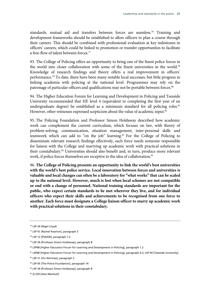standards, mutual aid and transfers between forces are seamless.<sup>76</sup> Training and development frameworks should be established to allow officers to plan a course through their careers. This should be combined with professional evaluation at key milestones in officers' careers, which could be linked to promotion or transfer opportunities to facilitate a free-flow of talent between forces.77

93. The College of Policing offers an opportunity to bring one of the finest police forces in the world into closer collaboration with some of the finest universities in the world.78 Knowledge of research findings and theory offers a real improvement in officers' performance.79 To date, there have been many notable local successes, but little progress in linking academia with policing at the national level. Programmes may rely on the patronage of particular officers and qualifications may not be portable between forces.<sup>80</sup>

94. The Higher Education Forum for Learning and Development in Policing and Teesside University recommended that HE level 4 (equivalent to completing the first year of an undergraduate degree) be established as a minimum standard for all policing roles.<sup>81</sup> However, other witnesses expressed scepticism about the value of academic input.<sup>82</sup>

95. The Policing Foundation and Professor Simon Holdaway described how academic work can complement the current curriculum, which focuses on law, with theory of problem-solving, communication, situation management, inter-personal skills and teamwork which can add to "on the job" learning.83 For the College of Policing to disseminate relevant research findings effectively, each force needs someone responsible for liaison with the College and marrying up academic work with practical solutions in their constabulary.84 Universities should also benefit and, in turn, produce more relevant work, if police forces themselves are receptive to the idea of collaboration.<sup>85</sup>

96. **The College of Policing presents an opportunity to link the world's best universities with the world's best police service. Local innovation between forces and universities is valuable and local changes can often be a laboratory for "what works" that can be scaled up to the national level. However, much is lost when local schemes are not compatible or end with a change of personnel. National training standards are important for the public, who expect certain standards to be met wherever they live, and for individual officers who expect their skills and achievements to be recognised from one force to another. Each force must designate a College liaison officer to marry up academic work with practical solutions in their constabulary.**

<sup>76</sup> LSP 24 [Nigel Lloyd]

<sup>77</sup> LSP 01 [Rachel Kearton], paragraph 3

<sup>78</sup> LSP 12 [PSAEW], paragraph 7.2

<sup>79</sup> LSP 34 [Professor Simon Holdaway], paragraph 8

<sup>80</sup> LSP08 [Higher Education Forum for Learning and Development in Policing], paragraph 1.2

<sup>81</sup> LSP08 [Higher Education Forum for Learning and Development in Policing], paragraph 4.2; LSP 04 [Teesside University]

<sup>82</sup> LSP 31 [Viv Nicholas], paragraph 3

<sup>83</sup> LSP 05 [The Police Foundation], paragraph 14

<sup>84</sup> LSP 34 [Professor Simon Holdaway], paragraph 8

<sup>85</sup> Q 229 [Alex Marshall]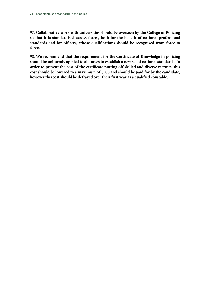97. **Collaborative work with universities should be overseen by the College of Policing so that it is standardised across forces, both for the benefit of national professional standards and for officers, whose qualifications should be recognised from force to force.**

98. **We recommend that the requirement for the Certificate of Knowledge in policing should be uniformly applied to all forces to establish a new set of national standards. In order to prevent the cost of the certificate putting off skilled and diverse recruits, this cost should be lowered to a maximum of £500 and should be paid for by the candidate, however this cost should be defrayed over their first year as a qualified constable.**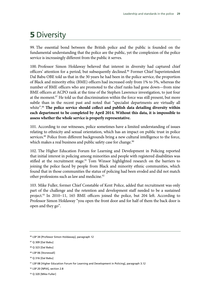# **5** Diversity

99. The essential bond between the British police and the public is founded on the fundamental understanding that the police are the public, yet the complexion of the police service is increasingly different from the public it serves.

100. Professor Simon Holdaway believed that interest in diversity had captured chief officers' attention for a period, but subsequently declined.<sup>86</sup> Former Chief Superintendent Dal Babu OBE told us that in the 30 years he had been in the police service, the proportion of Black and minority ethic (BME) officers had increased only from 1% to 5%, whereas the number of BME officers who are promoted to the chief ranks had gone down—from nine BME officers at ACPO rank at the time of the Stephen Lawrence investigation, to just four at the moment.<sup>87</sup> He told us that discrimination within the force was still present, but more subtle than in the recent past and noted that "specialist departments are virtually all white".<sup>88</sup> The police service should collect and publish data detailing diversity within **each department to be completed by April 2014. Without this data, it is impossible to assess whether the whole service is properly representative.**

101. According to our witnesses, police sometimes have a limited understanding of issues relating to ethnicity and sexual orientation, which has an impact on public trust in police services.<sup>89</sup> Police from different backgrounds bring a new cultural intelligence to the force, which makes a real business and public safety case for change.<sup>90</sup>

102. The Higher Education Forum for Learning and Development in Policing reported that initial interest in policing among minorities and people with registered disabilities was stifled at the recruitment stage.<sup>91</sup> Tom Winsor highlighted research on the barriers to joining the police faced by people from Black and minority ethnic communities, which found that in those communities the status of policing had been eroded and did not match other professions such as law and medicine.<sup>92</sup>

103. Mike Fuller, former Chief Constable of Kent Police, added that recruitment was only part of the challenge and the retention and development staff needed to be a sustained project.93 In 2010−11, 165 BME officers joined the police, but 204 left. According to Professor Simon Holdaway "you open the front door and for half of them the back door is open and they go".

<sup>86</sup> LSP 34 [Professor Simon Holdaway], paragraph 12

<sup>87</sup> Q 309 [Dal Babu]

<sup>88</sup> Q 323 [Dal Babu]

<sup>89</sup> LSP 06 [Stonewall]

<sup>90</sup> Q 316 [Dal Babu]

<sup>91</sup> LSP 08 [Higher Education Forum for Learning and Development in Policing], paragraph 3.12

<sup>92</sup> LSP 20 [NPIA], section 2.8

<sup>93</sup> Q 320 [Mike Fuller]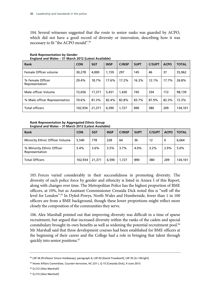104. Several witnesses suggested that the route to senior ranks was guarded by ACPO, which did not have a good record of diversity or innovation, describing how it was necessary to fit "the ACPO mould".94

| Rank                               | <b>CON</b> | <b>SGT</b> | <b>INSP</b> | <b>C/INSP</b> | <b>SUPT</b> | <b>C/SUPT</b> | <b>ACPO</b> | <b>TOTAL</b> |
|------------------------------------|------------|------------|-------------|---------------|-------------|---------------|-------------|--------------|
| Female Officer volume              | 30,278     | 4.000      | 1.159       | 297           | 145         | 46            | 37          | 35,962       |
| % Female Officer<br>Representation | 29.4%      | 18.7%      | 17.6%       | 17.2%         | 16.3%       | 12.1%         | 17.7%       | 26.8%        |
| Male officer Volume                | 72,656     | 17,371     | 5,431       | 1,430         | 745         | 334           | 172         | 98,139       |
| % Male officer Representation      | 70.6%      | 81.3%      | 82.4%       | 82.8%         | 83.7%       | 87.9%         | 82.3%       | 72.3%        |
| <b>Total officers</b>              | 102,934    | 21,371     | 6,590       | 1,727         | 890         | 380           | 209         | 134,101      |

### **Rank Representation by Gender England and Wales – 31 March 2012 (Latest Available)**

### **Rank Representation by Aggregated Ethnic Group England and Wales – 31 March 2012 (Latest Available)**

| <b>Rank</b>                                 | <b>CON</b> | <b>SGT</b> | <b>INSP</b> | <b>C/INSP</b> | <b>SUPT</b> | <b>C/SUPT</b> | <b>ACPO</b> | <b>TOTAL</b> |
|---------------------------------------------|------------|------------|-------------|---------------|-------------|---------------|-------------|--------------|
| Minority Ethnic Officer Volume              | 5,540      | 778        | 228         | 64            | 36          | 12            | 6           | 6,664        |
| % Minority Ethnic Officer<br>Representation | 5.4%       | 3.6%       | 3.5%        | 3.7%          | 4.0%        | 3.2%          | 2.9%        | 5.0%         |
| <b>Total Officers</b>                       | 102,934    | 21,371     | 6.590       | 1,727         | 890         | 380           | 209         | 134,101      |

105. Forces varied considerably in their successfulness in promoting diversity. The diversity of each police force by gender and ethnicity is listed in Annex I of this Report, along with changes over time. The Metropolitan Police has the highest proportion of BME officers, at 10%, but as Assistant Commissioner Cressida Dick noted this is "well off the level for London".95 In Dyfed-Powys, North Wales and Humberside, fewer than 1 in 100 officers are from a BME background, though these lower proportions might reflect more closely the composition of the communities they serve.

106. Alex Marshall pointed out that improving diversity was difficult in a time of sparse recruitment, but argued that increased diversity within the ranks of the cadets and special constabulary brought its own benefits as well as widening the potential recruitment pool.<sup>96</sup> Mr Marshall said that three development courses had been established for BME officers at the beginning of their career and the College had a role in bringing that talent through quickly into senior positions.<sup>97</sup>

<sup>94</sup> LSP 34 [Professor Simon Holdaway], paragraph 6; LSP 03 [David Treadwell]; LSP 35 [A J Wright]

<sup>95</sup> Home Affairs Committee, *Counter-terrorism*, HC 231-i, Q 15 [Cressida Dick], 4 June 2013

<sup>96</sup> Q 212 [Alex Marshall]

<sup>97</sup> Q 215 [Alex Marshall]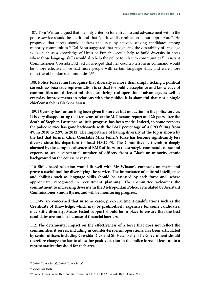107. Tom Winsor argued that the only criterion for entry into and advancement within the police service should be merit and that "positive discrimination is not appropriate". He proposed that forces should address the issue by actively seeking candidates among minority communities.<sup>98</sup> Dal Babu suggested that recognising the desirability of language skills—such as a knowledge of Urdu or Punjabi—could help to build diversity in areas where those language skills would also help the police to relate to communities.<sup>99</sup> Assistant Commissioner Cressida Dick acknowledged that her counter-terrorism command would be "more effective if we had more people with certain language skills and were more reflective of London's communities".100

108. **Police forces must recognise that diversity is more than simply ticking a political correctness box: true representation is critical for public acceptance and knowledge of communities and different mindsets can bring real operational advantages as well as everyday improvements in relations with the public. It is shameful that not a single chief constable is Black or Asian.**

109. **Diversity has for too long been given lip service but not action in the police service. It is very disappointing that ten years after the McPherson report and 20 years after the death of Stephen Lawrence so little progress has been made. Indeed, in some respects the police service has gone backwards with the BME percentage of ACPO falling from 4% in 2010 to 2.9% in 2012. The importance of having diversity at the top is shown by the fact that former Chief Constable Mike Fuller's force has become significantly less diverse since his departure to head HMICPS. The Committee is therefore deeply alarmed by the complete absence of BME officers on the strategic command course and expects to see a substantial number of officers from a Black or minority ethnic background on the course next year.** 

110. **Skills-based selection would fit well with Mr Winsor's emphasis on merit and prove a useful tool for diversifying the service. The importance of cultural intelligence and abilities such as language skills should be assessed by each force and, where appropriate, recognised in recruitment planning. The Committee welcomes the commitment to increasing diversity in the Metropolitan Police, articulated by Assistant Commissioner Simon Byrne, and will be monitoring progress.** 

111. **We are concerned that in some cases, pre-recruitment qualifications such as the Certificate of Knowledge, which may be prohibitively expensive for some candidates, may stifle diversity. Means-tested support should be in place to ensure that the best candidates are not lost because of financial barriers.**

112. **The detrimental impact on the effectiveness of a force that does not reflect the communities it serves, including in counter-terrorism operations, has been articulated by senior officers including Cressida Dick and Sir Peter Fahy. The Government should therefore change the law to allow for positive action in the police force, at least up to a representative threshold for each area.**

<sup>98</sup> Q 614 [Tom Winsor]; Q 615 [Tom Winsor]

<sup>99</sup> Q 328 [Dal Babu]

<sup>100</sup> Home Affairs Committee, *Counter-terrorism*, HC 231-i, Q 17 [Cressida Dick], 4 June 2013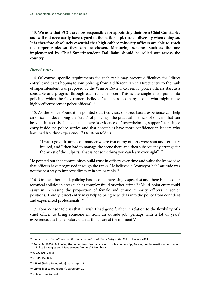113. **We note that PCCs are now responsible for appointing their own Chief Constables and will not necessarily have regard to the national picture of diversity when doing so. It is therefore absolutely essential that high calibre minority officers are able to reach the upper ranks so they can be chosen. Mentoring schemes such as the one implemented by Chief Superintendent Dal Babu should be rolled out across the country.**

# *Direct entry*

114. Of course, specific requirements for each rank may present difficulties for "direct entry" candidates hoping to join policing from a different career. Direct entry to the rank of superintendent was proposed by the Winsor Review. Currently, police officers start as a constable and progress through each rank in order. This is the single entry point into policing, which the Government believed "can miss too many people who might make highly effective senior police officers".<sup>101</sup>

115. As the Police Foundation pointed out, two years of street-based experience can help an officer in developing the "craft" of policing—the practical instincts of officers that can be vital in a crisis. It noted that there is evidence of "overwhelming support" for single entry inside the police service and that constables have more confidence in leaders who have had frontline experience.<sup>102</sup> Dal Babu told us:

"I was a gold firearms commander where two of my officers were shot and seriously injured, and I then had to manage the scene there and then subsequently arrange for the arrest of the culprits. That is not something you can learn overnight".<sup>103</sup>

He pointed out that communities build trust in officers over time and value the knowledge that officers have progressed through the ranks. He believed a "conveyor belt" attitude was not the best way to improve diversity in senior ranks.<sup>104</sup>

116. On the other hand, policing has become increasingly specialist and there is a need for technical abilities in areas such as complex fraud or cyber-crime.105 Multi-point entry could assist in increasing the proportion of female and ethnic minority officers in senior positions. Thirdly, direct entry may help to bring new ideas into the police from confident and experienced professionals.106

117. Tom Winsor told us that "I wish I had gone further in relation to the flexibility of a chief officer to bring someone in from an outside job, perhaps with a lot of years' experience, at a higher salary than as things are at the moment".107

<sup>101</sup> Home Office, *Consultation on the Implementation of Direct Entry in the Police*, January 2013

<sup>&</sup>lt;sup>102</sup> Rowe, M. (2006) 'Following the leader: frontline narratives on police leadership', Policing: An International Journal of Police Strategies and Management, Volume29, Number 4.

<sup>103</sup> Q 333 [Dal Babu]

<sup>104</sup> Q 315 [Dal Babu]

<sup>105</sup> LSP 05 [Police Foundation], paragraph 19

<sup>106</sup> LSP 05 [Police Foundation], paragraph 20

<sup>107</sup> Q 604 [Tom Winsor]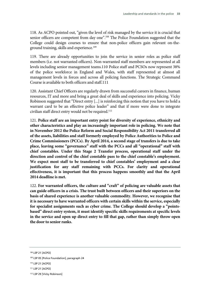118. As ACPO pointed out, "given the level of risk managed by the service it is crucial that senior officers are competent from day one".<sup>108</sup> The Police Foundation suggested that the College could design courses to ensure that non-police officers gain relevant on-theground training, skills and experience.<sup>109</sup>

119. There are already opportunities to join the service in senior roles as police staff members (i.e. not warranted officers). Non-warranted staff members are represented at all levels including senior management teams.110 Police staff and PCSOs now represent 38% of the police workforce in England and Wales, with staff represented at almost all management levels in forces and across all policing functions. The Strategic Command Course is available to both officers and staff.111

120. Assistant Chief Officers are regularly drawn from successful careers in finance, human resources, IT and more and bring a great deal of skills and experience into policing. Vicky Robinson suggested that "Direct entry [...] is reinforcing this notion that you have to hold a warrant card to be an effective police leader" and that if more were done to integrate civilian staff direct entry would not be required.<sup>112</sup>

121. **Police staff are an important entry point for diversity of experience, ethnicity and other characteristics and play an increasingly important role in policing. We note that in November 2012 the Police Reform and Social Responsibility Act 2011 transferred all of the assets, liabilities and staff formerly employed by Police Authorities to Police and Crime Commissioners (PCCs). By April 2014, a second stage of transfers is due to take place, leaving some "governance" staff with the PCCs and all "operational" staff with chief constables. Under this Stage 2 Transfer process, operational staff under the direction and control of the chief constable pass to the chief constable's employment. We expect most staff to be transferred to chief constables' employment and a clear justification for any staff remaining with PCCs. For clarity and operational effectiveness, it is important that this process happens smoothly and that the April 2014 deadline is met.**

122. **For warranted officers, the culture and "craft" of policing are valuable assets that can guide officers in a crisis. The trust built between officers and their superiors on the basis of shared experience is another valuable commodity. However, we recognise that it is necessary to have warranted officers with certain skills within the service, especially for specialist assignments such as cyber crime. The College should develop a "pointsbased" direct entry system, it must identify specific skills requirements at specific levels in the service and open up direct entry to fill that gap, rather than simply throw open the door to senior ranks.**

<sup>108</sup> LSP 21 [ACPO]

<sup>109</sup> LSP 05 [Police Foundation], paragraph 24

<sup>110</sup> LSP 21 [ACPO]

<sup>111</sup> LSP 21 [ACPO]

<sup>112</sup> LSP 29 [Vicky Robinson]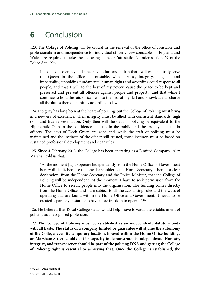# **6** Conclusion

123. The College of Policing will be crucial in the renewal of the office of constable and professionalism and independence for individual officers. New constables in England and Wales are required to take the following oath, or "attestation", under section 29 of the Police Act 1996:

I, ... of ... do solemnly and sincerely declare and affirm that I will well and truly serve the Queen in the office of constable, with fairness, integrity, diligence and impartiality, upholding fundamental human rights and according equal respect to all people; and that I will, to the best of my power, cause the peace to be kept and preserved and prevent all offences against people and property; and that while I continue to hold the said office I will to the best of my skill and knowledge discharge all the duties thereof faithfully according to law.

124. Integrity has long been at the heart of policing, but the College of Policing must bring in a new era of excellence, when integrity must be allied with consistent standards, high skills and true representation. Only then will the oath of policing be equivalent to the Hippocratic Oath in the confidence it instils in the public and the probity it instils in officers. The days of Dock Green are gone and, while the craft of policing must be maintained and the instincts of the officer still trusted, those instincts must be based on sustained professional development and clear rules.

125. Since 4 February 2013, the College has been operating as a Limited Company. Alex Marshall told us that:

"At the moment [...] to operate independently from the Home Office or Government is very difficult, because the one shareholder is the Home Secretary. There is a clear declaration, from the Home Secretary and the Police Minister, that the College of Policing will be independent. At the moment, I have to seek permission from the Home Office to recruit people into the organisation. The funding comes directly from the Home Office, and I am subject to all the accounting rules and the ways of operating that are found within the Home Office and Government. It needs to be created separately in statute to have more freedom to operate".113

126. He believed that Royal College status would help move towards the establishment of policing as a recognised profession.<sup>114</sup>

127. **The College of Policing must be established as an independent, statutory body with all haste. The status of a company limited by guarantee will stymie the autonomy of the College; even its temporary location, housed within the Home Office buildings on Marsham Street, could dent its capacity to demonstrate its independence. Honesty, integrity, and transparency should be part of the policing DNA and getting the College of Policing right is essential to achieving that. Once the College is established, the** 

<sup>113</sup> Q 241 [Alex Marshall]

<sup>114</sup> Q 233 [Alex Marshall]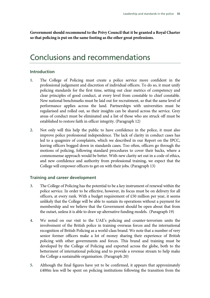**Government should recommend to the Privy Council that it be granted a Royal Charter so that policing is put on the same footing as the other great professions.**

# Conclusions and recommendations

# **Introduction**

- **1.** The College of Policing must create a police service more confident in the professional judgement and discretion of individual officers. To do so, it must unify policing standards for the first time, setting out clear metrics of competency and clear principles of good conduct, at every level from constable to chief constable. New national benchmarks must be laid out for recruitment, so that the same level of performance applies across the land. Partnerships with universities must be regularised and rolled out, so their insights can be shared across the service. Grey areas of conduct must be eliminated and a list of those who are struck off must be established to restore faith in officer integrity. (Paragraph 12)
- **2.** Not only will this help the public to have confidence in the police, it must also improve police professional independence. The lack of clarity in conduct cases has led to a quagmire of complaints, which we described in our Report on the IPCC, leaving officers bogged down in standards cases. Too often, officers go through the motions of policing, following standard procedures to cover their backs, where a commonsense approach would be better. With new clarity set out in a code of ethics, and new confidence and authority from professional training, we expect that the College will empower officers to get on with their jobs. (Paragraph 13)

# **Training and career development**

- **3.** The College of Policing has the potential to be a key instrument of renewal within the police service. In order to be effective, however, its focus must be on delivery for all officers, at every rank. With a budget requirement of £50 million per year, it seems unlikely that the College will be able to sustain its operations without a payment for membership and we believe that the Government should be open about that from the outset, unless it is able to draw up alternative funding models. (Paragraph 19)
- **4.** We noted on our visit to the UAE's policing and counter-terrorism units the involvement of the British police in training overseas forces and the international recognition of British Policing as a world-class brand. We note that a number of very senior former officers make a lot of money sharing their experience of British policing with other governments and forces. This brand and training must be developed by the College of Policing and exported across the globe, both to the betterment of international policing and to provide a revenue stream to help make the College a sustainable organisation. (Paragraph 20)
- **5.** Although the final figures have yet to be confirmed, it appears that approximately £400m less will be spent on policing institutions following the transition from the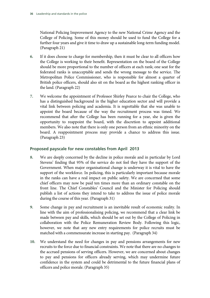National Policing Improvement Agency to the new National Crime Agency and the College of Policing. Some of this money should be used to fund the College for a further four years and give it time to draw up a sustainable long-term funding model. (Paragraph 21)

- **6.** If it does choose to charge for membership, then it must be clear to all officers how the College is working to their benefit. Representation on the board of the College should be more proportional to the number of officers at each rank; one seat for the federated ranks is unacceptable and sends the wrong message to the service. The Metropolitan Police Commissioner, who is responsible for almost a quarter of British police officers, should also sit on the board as the highest ranking officer in the land. (Paragraph 22)
- **7.** We welcome the appointment of Professor Shirley Pearce to chair the College, who has a distinguished background in the higher education sector and will provide a vital link between policing and academia. It is regrettable that she was unable to appoint the board because of the way the recruitment process was timed. We recommend that after the College has been running for a year, she is given the opportunity to reappoint the board, with the discretion to appoint additional members. We also note that there is only one person from an ethnic minority on the board. A reappointment process may provide a chance to address this issue. (Paragraph 23)

# **Proposed payscale for new constables from April 2013**

- **8.** We are deeply concerned by the decline in police morale and in particular by Lord Stevens' finding that 95% of the service do not feel they have the support of the Government. When major organisational change is underway it is vital to have the support of the workforce. In policing, this is particularly important because morale in the ranks can have a real impact on public safety. We are concerned that some chief officers may now be paid ten times more than an ordinary constable on the front line. The Chief Constables' Council and the Minister for Policing should publish a list of actions they intend to take to address the issue of police morale during the course of this year. (Paragraph 31)
- **9.** Some change in pay and recruitment is an inevitable result of economic reality. In line with the aim of professionalising policing, we recommend that a clear link be made between pay and skills, which should be set out by the College of Policing in collaboration with the Police Remuneration Review Body. Following this logic, however, we note that any new entry requirements for police recruits must be matched with a commensurate increase in starting pay. (Paragraph 34)
- **10.** We understand the need for changes in pay and pensions arrangements for new recruits to the force due to financial constraints. We note that there are no changes to the accrued pensions of serving officers. However, we are concerned about changes to pay and pensions for officers already serving, which may undermine future confidence in the system and could be detrimental to the future financial plans of officers and police morale. (Paragraph 35)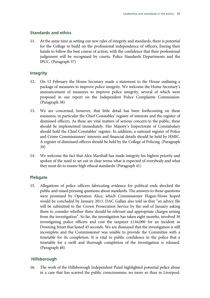### **Standards and ethics**

**11.** At the same time as setting out new rules of integrity and standards, there is potential for the College to build on the professional independence of officers, freeing their hands to follow the best course of action, with the confidence that their professional judgement will be recognised by courts, Police Standards Departments and the IPCC. (Paragraph 37)

### **Integrity**

- **12.** On 12 February the Home Secretary made a statement to the House outlining a package of measures to improve police integrity. We welcome the Home Secretary's announcement of measures to improve police integrity, several of which were proposed in our report on the Independent Police Complaints Commission. (Paragraph 38)
- **13.** We are concerned, however, that little detail has been forthcoming on these measures, in particular the Chief Constables' register of interests and the register of dismissed officers. As these are vital matters of serious concern to the public, these should be implemented immediately. Her Majesty's Inspectorate of Constabulary should hold the Chief Constables' register. In addition, a national register of Police and Crime Commissioners' interests and financial details should be held by HMIC. A register of dismissed officers should be held by the College of Policing. (Paragraph 39)
- **14.** We welcome the fact that Alex Marshall has made integrity his highest priority and spoken of the need to set out in clear terms what is expected of everybody and what they must do to ensure high ethical standards. (Paragraph 41)

## **Plebgate**

**15.** Allegations of police officers fabricating evidence for political ends shocked the public and raised pressing questions about standards. The answers to those questions were promised by Operation Alice, which Commissioner Hogan-Howe hoped would be concluded by January 2013. DAC Gallan also told us that "an advice file will be submitted to the Crown Prosecution Service by the end of January asking them to consider whether there should be relevant and appropriate charges arising from the investigation". So far, the investigation has taken eight months, involved 30 investigating police officers and cost the taxpayer £144,000 for an incident in Downing Street that lasted 45 seconds. We are dismayed that the investigation is still incomplete and the Commissioner was unable to provide the Committee with a timetable for its completion. It is vital to public confidence in the police that a timetable for a swift and thorough completion of the investigation is released. (Paragraph 48)

### **Hillsborough**

**16.** The work of the Hillsborough Independent Panel highlighted potential police abuse in a case that has scarred the public consciousness, no more so than in Liverpool.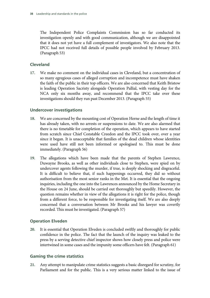The Independent Police Complaints Commission has so far conducted its investigation openly and with good communication, although we are disappointed that it does not yet have a full complement of investigators. We also note that the IPCC had not received full details of possible people involved by February 2013. (Paragraph 53)

# **Cleveland**

**17.** We make no comment on the individual cases in Cleveland, but a concentration of so many egregious cases of alleged corruption and incompetence must have shaken the faith of the public in their top officers. We are also concerned that Keith Bristow is leading Operation Sacristy alongside Operation Pallial, with vesting day for the NCA only six months away, and recommend that the IPCC take over these investigations should they run past December 2013. (Paragraph 55)

# **Undercover investigations**

- **18.** We are concerned by the mounting cost of Operation Herne and the length of time it has already taken, with no arrests or suspensions to date. We are also alarmed that there is no timetable for completion of the operation, which appears to have started from scratch since Chief Constable Creedon and the IPCC took over, over a year since it began. It is unacceptable that families of the dead children whose identities were used have still not been informed or apologised to. This must be done immediately. (Paragraph 56)
- **19.** The allegations which have been made that the parents of Stephen Lawrence, Duwayne Brooks, as well as other individuals close to Stephen, were spied on by undercover agents following the murder, if true, is deeply shocking and disgraceful. It is difficult to believe that, if such happenings occurred, they did so without authorisation from the most senior ranks in the Met. It is essential that the ongoing inquiries, including the one into the Lawrences announced by the Home Secretary in the House on 24 June, should be carried out thoroughly but speedily. However, the question remains whether in view of the allegations it is right for the police, though from a different force, to be responsible for investigating itself. We are also deeply concerned that a conversation between Mr Brooks and his lawyer was covertly recorded. This must be investigated. (Paragraph 57)

# **Operation Elveden**

**20.** It is essential that Operation Elveden is concluded swiftly and thoroughly for public confidence in the police. The fact that the launch of the inquiry was leaked to the press by a serving detective chief inspector shows how closely press and police were intertwined in some cases and the impunity some officers have felt. (Paragraph 61)

# **Gaming the crime statistics**

**21.** Any attempt to manipulate crime statistics suggests a basic disregard for scrutiny, for Parliament and for the public. This is a very serious matter linked to the issue of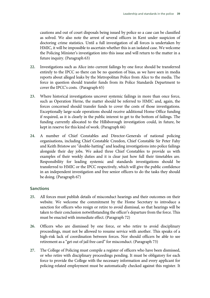cautions and out of court disposals being issued by police so a case can be classified as solved. We also note the arrest of several officers in Kent under suspicion of doctoring crime statistics. Until a full investigation of all forces is undertaken by HMIC, it will be impossible to ascertain whether this is an isolated case. We welcome the Policing Minister's investigation into this issue and will return to the matter in a future inquiry. (Paragraph 63)

- **22.** Investigations such as Alice into current failings by one force should be transferred entirely to the IPCC so there can be no question of bias, as we have seen in media reports about alleged leaks by the Metropolitan Police from Alice to the media. The force in question should transfer funds from its Police Standards Department to cover the IPCC's costs. (Paragraph 65)
- **23.** Where historical investigations uncover systemic failings in more than once force, such as Operation Herne, the matter should be referred to HMIC and, again, the forces concerned should transfer funds to cover the costs of those investigations. Exceptionally large-scale operations should receive additional Home Office funding if required, as it is clearly in the public interest to get to the bottom of failings. The funding currently allocated to the Hillsborough investigation could, in future, be kept in reserve for this kind of work. (Paragraph 66)
- **24.** A number of Chief Constables and Director-Generals of national policing organisations, including Chief Constable Creedon, Chief Constable Sir Peter Fahy and Keith Bristow are "double-hatting" and leading investigations into police failings alongside their day jobs. We asked three Chief Constables to provide us with examples of their weekly duties and it is clear just how full their timetables are. Responsibility for leading systemic and standards investigations should be transferred to HMIC or the IPCC respectively, which will give the public confidence in an independent investigation and free senior officers to do the tasks they should be doing. (Paragraph 67)

# **Sanctions**

- **25.** All forces must publish details of misconduct hearings and their outcomes on their website. We welcome the commitment by the Home Secretary to introduce a sanction for officers who resign or retire to avoid dismissal, so that hearings will be taken to their conclusion notwithstanding the officer's departure from the force. This must be enacted with immediate effect. (Paragraph 72)
- **26.** Officers who are dismissed by one force, or who retire to avoid disciplinary proceedings, must not be allowed to resume service with another. This speaks of a high-risk lack of coordination between forces. Nor should officers be able to see retirement as a "get out of jail free card" for misconduct. (Paragraph 73)
- **27.** The College of Policing must compile a register of officers who have been dismissed, or who retire with disciplinary proceedings pending. It must be obligatory for each force to provide the College with the necessary information and every applicant for policing-related employment must be automatically checked against this register. It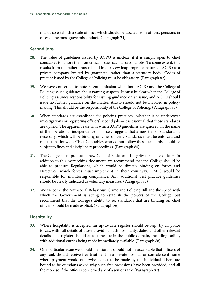must also establish a scale of fines which should be docked from officers pensions in cases of the most grave misconduct. (Paragraph 74)

# **Second jobs**

- **28.** The value of guidelines issued by ACPO is unclear, if it is simply open to chief constables to ignore them on critical issues such as second jobs. To some extent, this results from the rather unusual, and in our view inappropriate, nature of ACPO as a private company limited by guarantee, rather than a statutory body. Codes of practice issued by the College of Policing must be obligatory. (Paragraph 82)
- **29.** We were concerned to note recent confusion when both ACPO and the College of Policing issued guidance about naming suspects. It must be clear when the College of Policing assumes responsibility for issuing guidance on an issue, and ACPO should issue no further guidance on the matter. ACPO should not be involved in policymaking. This should be the responsibility of the College of Policing. (Paragraph 83)
- **30.** When standards are established for policing practices—whether it be undercover investigations or registering officers' second jobs—it is essential that those standards are upheld. The apparent ease with which ACPO guidelines are ignored, in the name of the operational independence of forces, suggests that a new tier of standards is necessary, which will be binding on chief officers. Standards must be enforced and must be nationwide. Chief Constables who do not follow these standards should be subject to fines and disciplinary proceedings. (Paragraph 84)
- **31.** The College must produce a new Code of Ethics and Integrity for police officers. In addition to this overarching document, we recommend that the College should be able to produce Regulations, which would be directly binding on forces and Directives, which forces must implement in their own way. HMIC would be responsible for monitoring compliance. Any additional best practice guidelines should be clearly indicated as voluntary measures. (Paragraph 85)
- **32.** We welcome the Anti-social Behaviour, Crime and Policing Bill and the speed with which the Government is acting to establish the powers of the College, but recommend that the College's ability to set standards that are binding on chief officers should be made explicit. (Paragraph 86)

# **Hospitality**

- **33.** Where hospitality is accepted, an up-to-date register should be kept by all police forces, with full details of those providing such hospitality, dates, and other relevant details. The register should at all times be in the public domain, including online, with additional entries being made immediately available. (Paragraph 88)
- **34.** One particular issue we should mention: it should not be acceptable that officers of any rank should receive free treatment in a private hospital or convalescent home where payment would otherwise expect to be made by the individual. There are bound to be questions asked why such free provisions have been provided, and all the more so if the officers concerned are of a senior rank. (Paragraph 89)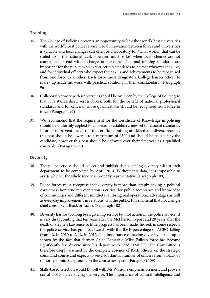# **Training**

- **35.** The College of Policing presents an opportunity to link the world's best universities with the world's best police service. Local innovation between forces and universities is valuable and local changes can often be a laboratory for "what works" that can be scaled up to the national level. However, much is lost when local schemes are not compatible or end with a change of personnel. National training standards are important for the public, who expect certain standards to be met wherever they live, and for individual officers who expect their skills and achievements to be recognised from one force to another. Each force must designate a College liaison officer to marry up academic work with practical solutions in their constabulary. (Paragraph 96)
- **36.** Collaborative work with universities should be overseen by the College of Policing so that it is standardised across forces, both for the benefit of national professional standards and for officers, whose qualifications should be recognised from force to force. (Paragraph 97)
- **37.** We recommend that the requirement for the Certificate of Knowledge in policing should be uniformly applied to all forces to establish a new set of national standards. In order to prevent the cost of the certificate putting off skilled and diverse recruits, this cost should be lowered to a maximum of £500 and should be paid for by the candidate, however this cost should be defrayed over their first year as a qualified constable. (Paragraph 98)

# **Diversity**

- **38.** The police service should collect and publish data detailing diversity within each department to be completed by April 2014. Without this data, it is impossible to assess whether the whole service is properly representative. (Paragraph 100)
- **39.** Police forces must recognise that diversity is more than simply ticking a political correctness box: true representation is critical for public acceptance and knowledge of communities and different mindsets can bring real operational advantages as well as everyday improvements in relations with the public. It is shameful that not a single chief constable is Black or Asian. (Paragraph 108)
- **40.** Diversity has for too long been given lip service but not action in the police service. It is very disappointing that ten years after the McPherson report and 20 years after the death of Stephen Lawrence so little progress has been made. Indeed, in some respects the police service has gone backwards with the BME percentage of ACPO falling from 4% in 2010 to 2.9% in 2012. The importance of having diversity at the top is shown by the fact that former Chief Constable Mike Fuller's force has become significantly less diverse since his departure to head HMICPS. The Committee is therefore deeply alarmed by the complete absence of BME officers on the strategic command course and expects to see a substantial number of officers from a Black or minority ethnic background on the course next year. (Paragraph 109)
- **41.** Skills-based selection would fit well with Mr Winsor's emphasis on merit and prove a useful tool for diversifying the service. The importance of cultural intelligence and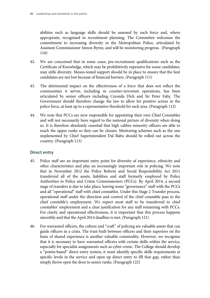abilities such as language skills should be assessed by each force and, where appropriate, recognised in recruitment planning. The Committee welcomes the commitment to increasing diversity in the Metropolitan Police, articulated by Assistant Commissioner Simon Byrne, and will be monitoring progress. (Paragraph 110)

- **42.** We are concerned that in some cases, pre-recruitment qualifications such as the Certificate of Knowledge, which may be prohibitively expensive for some candidates, may stifle diversity. Means-tested support should be in place to ensure that the best candidates are not lost because of financial barriers. (Paragraph 111)
- **43.** The detrimental impact on the effectiveness of a force that does not reflect the communities it serves, including in counter-terrorism operations, has been articulated by senior officers including Cressida Dick and Sir Peter Fahy. The Government should therefore change the law to allow for positive action in the police force, at least up to a representative threshold for each area. (Paragraph 112)
- **44.** We note that PCCs are now responsible for appointing their own Chief Constables and will not necessarily have regard to the national picture of diversity when doing so. It is therefore absolutely essential that high calibre minority officers are able to reach the upper ranks so they can be chosen. Mentoring schemes such as the one implemented by Chief Superintendent Dal Babu should be rolled out across the country. (Paragraph 113)

# **Direct entry**

- **45.** Police staff are an important entry point for diversity of experience, ethnicity and other characteristics and play an increasingly important role in policing. We note that in November 2012 the Police Reform and Social Responsibility Act 2011 transferred all of the assets, liabilities and staff formerly employed by Police Authorities to Police and Crime Commissioners (PCCs). By April 2014, a second stage of transfers is due to take place, leaving some "governance" staff with the PCCs and all "operational" staff with chief constables. Under this Stage 2 Transfer process, operational staff under the direction and control of the chief constable pass to the chief constable's employment. We expect most staff to be transferred to chief constables' employment and a clear justification for any staff remaining with PCCs. For clarity and operational effectiveness, it is important that this process happens smoothly and that the April 2014 deadline is met. (Paragraph 121)
- **46.** For warranted officers, the culture and "craft" of policing are valuable assets that can guide officers in a crisis. The trust built between officers and their superiors on the basis of shared experience is another valuable commodity. However, we recognise that it is necessary to have warranted officers with certain skills within the service, especially for specialist assignments such as cyber crime. The College should develop a "points-based" direct entry system, it must identify specific skills requirements at specific levels in the service and open up direct entry to fill that gap, rather than simply throw open the door to senior ranks. (Paragraph 122)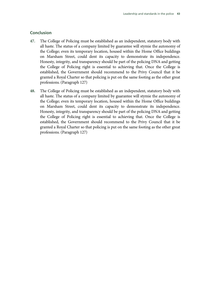# **Conclusion**

- **47.** The College of Policing must be established as an independent, statutory body with all haste. The status of a company limited by guarantee will stymie the autonomy of the College; even its temporary location, housed within the Home Office buildings on Marsham Street, could dent its capacity to demonstrate its independence. Honesty, integrity, and transparency should be part of the policing DNA and getting the College of Policing right is essential to achieving that. Once the College is established, the Government should recommend to the Privy Council that it be granted a Royal Charter so that policing is put on the same footing as the other great professions. (Paragraph 127)
- **48.** The College of Policing must be established as an independent, statutory body with all haste. The status of a company limited by guarantee will stymie the autonomy of the College; even its temporary location, housed within the Home Office buildings on Marsham Street, could dent its capacity to demonstrate its independence. Honesty, integrity, and transparency should be part of the policing DNA and getting the College of Policing right is essential to achieving that. Once the College is established, the Government should recommend to the Privy Council that it be granted a Royal Charter so that policing is put on the same footing as the other great professions. (Paragraph 127)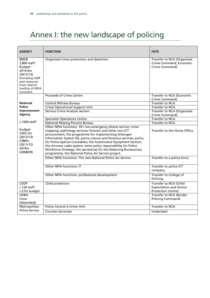# Annex I: the new landscape of policing

| <b>AGENCY</b>                                                                                                                                    | <b>FUNCTION</b>                                                                                                                                                                                                                                                                                                                                                                                                                                                                                                             | <b>FATE</b>                                                                                                                    |
|--------------------------------------------------------------------------------------------------------------------------------------------------|-----------------------------------------------------------------------------------------------------------------------------------------------------------------------------------------------------------------------------------------------------------------------------------------------------------------------------------------------------------------------------------------------------------------------------------------------------------------------------------------------------------------------------|--------------------------------------------------------------------------------------------------------------------------------|
| <b>SOCA</b><br>3,806 staff<br>Budget:<br>£414.4m<br>(2012/13)<br>Excluding staff<br>and resource<br>from interim<br>hosting of NPIA<br>functions | Organised crime prevention and detection                                                                                                                                                                                                                                                                                                                                                                                                                                                                                    | Transfer to NCA (Organised<br>Crime Command; Economic<br>Crime Command)                                                        |
|                                                                                                                                                  | <b>Proceeds of Crime Centre</b>                                                                                                                                                                                                                                                                                                                                                                                                                                                                                             | Transfer to NCA (Economic<br>Crime Command)                                                                                    |
| <b>National</b>                                                                                                                                  | <b>Central Witness Bureau</b>                                                                                                                                                                                                                                                                                                                                                                                                                                                                                               | <b>Transfer to NCA</b>                                                                                                         |
| <b>Police</b>                                                                                                                                    | <b>Crime Operational Support Unit</b>                                                                                                                                                                                                                                                                                                                                                                                                                                                                                       | Transfer to NCA                                                                                                                |
| Improvement<br>Agency                                                                                                                            | Serious Crime Analysis section                                                                                                                                                                                                                                                                                                                                                                                                                                                                                              | Transfer to NCA (Organised<br>Crime Command)                                                                                   |
|                                                                                                                                                  | <b>Specialist Operations Centre</b>                                                                                                                                                                                                                                                                                                                                                                                                                                                                                         | Transfer to NCA                                                                                                                |
| $c.1600$ staff                                                                                                                                   | <b>National Missing Persons Bureau</b>                                                                                                                                                                                                                                                                                                                                                                                                                                                                                      | <b>Transfer to NCA</b>                                                                                                         |
| budget:<br>£392.3m<br>(2012/13)<br>£380m<br>(2011/12)<br>£474m<br>(2008/09)                                                                      | Other NPIA functions: 101 non-emergency phone service; crime<br>mapping; pathology services; forensic and other non-ICT<br>procurement; the programme for implementing Schengen<br>Information System (II); police science and forensics services; policy<br>for Police Special Constables; the Automotive Equipment Section;<br>the Airwave radio system; some policy responsibility for Police<br>Workforce Strategy; the secretariat for the Reducing Bureaucracy<br>programme; the National Police Air Service project. | Transfer to the Home Office                                                                                                    |
|                                                                                                                                                  | Other NPIA functions: The new National Police Air Service                                                                                                                                                                                                                                                                                                                                                                                                                                                                   | Transfer to a police force                                                                                                     |
|                                                                                                                                                  | <b>Other NPIA functions: IT</b>                                                                                                                                                                                                                                                                                                                                                                                                                                                                                             | Transfer to police ICT<br>company                                                                                              |
|                                                                                                                                                  | Other NPIA functions: professional development                                                                                                                                                                                                                                                                                                                                                                                                                                                                              | Transfer to College of<br>Policing                                                                                             |
| <b>CEOP</b><br>$c.120$ staff<br>c.f7m budget<br><b>UKBA</b><br>(now                                                                              | Child protection                                                                                                                                                                                                                                                                                                                                                                                                                                                                                                            | Transfer to NCA (Child<br><b>Exploitation and Online</b><br>Protection Centre)<br>Transfer to NCA (Border<br>Policing Command) |
| disbanded)                                                                                                                                       |                                                                                                                                                                                                                                                                                                                                                                                                                                                                                                                             |                                                                                                                                |
| Metropolitan                                                                                                                                     | Police Central e-Crime Unit                                                                                                                                                                                                                                                                                                                                                                                                                                                                                                 | <b>Transfer to NCA</b>                                                                                                         |
| <b>Police Service</b>                                                                                                                            | Counter-terrorism                                                                                                                                                                                                                                                                                                                                                                                                                                                                                                           | Undecided                                                                                                                      |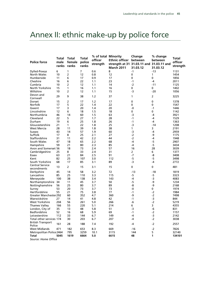# Annex II: ethnic make-up by police force

| <b>Police force</b>                   | Total<br>male<br>ranks | Total<br>female<br>ranks | Total<br>police<br>ranks | % of total Minority<br>officer<br>strength | Ethnic officer between<br>strength at 31 31.03.11 and 31.03.11 and<br><b>March 2011</b> | Change<br>31.03.12 | % change<br>between<br>31.03.12 | Total<br>officer<br>strength |
|---------------------------------------|------------------------|--------------------------|--------------------------|--------------------------------------------|-----------------------------------------------------------------------------------------|--------------------|---------------------------------|------------------------------|
| Dyfed-Powys                           | 6                      | 1                        | $\overline{7}$           | 0.6                                        | 8                                                                                       | $-1$               | $-13$                           | 1131                         |
| North Wales                           | 10                     | 2                        | 12                       | 0.8                                        | 12                                                                                      | 0                  | 1                               | 1454                         |
| Humberside                            | 11                     | 6                        | 17                       | 0.9                                        | 17                                                                                      | 0                  | 0                               | 1856                         |
| Cheshire                              | 16                     | 6                        | 22                       | 1.1                                        | 23                                                                                      | $-1$               | -4                              | 2011                         |
| Cumbria                               | 10                     | 2                        | 12                       | 1.1                                        | 14                                                                                      | -2                 | $-11$                           | 1125                         |
| North Yorkshire                       | 15                     | 1                        | 16                       | 1.1                                        | 16                                                                                      | 0                  | 0                               | 1402                         |
| Wiltshire                             | 10                     | 2                        | 12                       | 1.1                                        | 15                                                                                      | -3                 | $-20$                           | 1056                         |
| Devon and<br>Cornwall                 | 29                     | 9                        | 38                       | 1.2                                        | 37                                                                                      | $\mathbf{1}$       | $\overline{2}$                  | 3225                         |
| Dorset                                | 15                     | 2                        | 17                       | 1.2                                        | 17                                                                                      | 0                  | 0                               | 1378                         |
| Norfolk                               | 17                     | 5                        | 22                       | 1.4                                        | 22                                                                                      | 0                  | 0                               | 1547                         |
| Gwent                                 | 17                     | 3                        | 20                       | 1.4                                        | 20                                                                                      | -0                 | -1                              | 1446                         |
| Lincolnshire                          | 12                     | 6                        | 18                       | 1.5                                        | 18                                                                                      | 0                  | 0                               | 1142                         |
| Northumbria                           | 46                     | 14                       | 60                       | 1.5                                        | 63                                                                                      | $-3$               | $-4$                            | 3921                         |
| Cleveland                             | 22                     | 5                        | 27                       | 1.7                                        | 28                                                                                      | $-1$               | -4                              | 1529                         |
| Durham                                | 19                     | 6                        | 25                       |                                            |                                                                                         | $-1$               | -4                              |                              |
|                                       |                        |                          |                          | 1.8                                        | 26                                                                                      |                    |                                 | 1363                         |
| Gloucestershire                       | 21                     | 1                        | 22                       | 1.8                                        | 25                                                                                      | $-3$               | $-14$                           | 1208                         |
| <b>West Mercia</b>                    | 28                     | 11                       | 39                       | 1.8                                        | 38                                                                                      | $\mathbf{1}$       | 3                               | 2191                         |
| Sussex                                | 43                     | 14                       | 57                       | 1.9                                        | 60                                                                                      | -3                 | -4                              | 2959                         |
| Suffolk                               | 17                     | 8                        | 25                       | 2.1                                        | 27                                                                                      | $-2$               | -9                              | 1175                         |
| Staffordshire                         | 31                     | 11                       | 42                       | 2.2                                        | 44                                                                                      | -2                 | -4                              | 1948                         |
| South Wales                           | 47                     | 18                       | 65                       | 2.2                                        | 68                                                                                      | $-4$               | $-5$                            | 2907                         |
| Hampshire                             | 59                     | 21                       | 80                       | 2.3                                        | 85                                                                                      | -4                 | $-5$                            | 3434                         |
| Avon and Somerset 56                  |                        | 18                       | 73                       | 2.4                                        | 57                                                                                      | 16                 | 28                              | 3039                         |
| Cambridgeshire                        | 25                     | 8                        | 33                       | 2.4                                        | 31                                                                                      | 2                  | 6                               | 1377                         |
| Essex                                 | 63                     | 21                       | 84                       | 2.5                                        | 91                                                                                      | $-7$               | -8                              | 3408                         |
| Kent                                  | 82                     | 25                       | 107                      | 3.0                                        | 112                                                                                     | $-5$               | $-5$                            | 3498                         |
| South Yorkshire                       | 68                     | 17                       | 85                       | 3.1                                        | 89                                                                                      | -3                 | -4                              | 2772                         |
| <b>Central Service</b><br>secondments | 13                     | $\overline{2}$           | 15                       | 3.1                                        | 15                                                                                      | 0                  | 0                               | 481                          |
| Derbyshire                            | 45                     | 14                       | 58                       | 3.2                                        | 72                                                                                      | -13                | -18                             | 1819                         |
| Lancashire                            | 85                     | 25                       | 110                      | 3.3                                        | 115                                                                                     | $-5$               | -5                              | 3323                         |
| Merseyside                            | 100                    | 38                       | 138                      | 3.4                                        | 143                                                                                     | -4                 | $-3$                            | 4083                         |
| Northamptonshire 34                   |                        | 11                       | 45                       | 3.7                                        | 50                                                                                      | -5                 | -9                              | 1234                         |
| Nottinghamshire                       | 56                     | 25                       | 80                       | 3.7                                        | 89                                                                                      | -8                 | -9                              | 2168                         |
| Surrey                                | 53                     | 20                       | 73                       | 3.7                                        | 73                                                                                      | -0                 | 0                               | 1974                         |
| Hertfordshire                         | 55                     | 21                       | 75                       | 3.8                                        | 77                                                                                      | $-1$               | $-2$                            | 1984                         |
| <b>Greater Manchester292</b>          |                        | 60                       | 352                      | 4.7                                        | 360                                                                                     | -9                 | $-2$                            | 7498                         |
| Warwickshire                          | 27                     | 14                       | 41                       | 4.8                                        | 42                                                                                      | $-1$               | $-3$                            | 844                          |
| West Yorkshire                        | 204                    | 56                       | 261                      | 5.0                                        | 266                                                                                     | -6                 | $-2$                            | 5219                         |
| <b>Thames Valley</b>                  | 166                    | 55                       | 220                      | 5.1                                        | 214                                                                                     | 6                  | 3                               | 4355                         |
| London, City of                       | 35                     | 13                       | 48                       | 5.8                                        | 51                                                                                      | $-3$               | -6                              | 831                          |
| Bedfordshire                          | 52                     | 16                       | 68                       | 5.9                                        | 69                                                                                      | $-1$               | $-2$                            | 1157                         |
| Leicestershire                        | 112                    | 33                       | 144                      | 6.7                                        | 149                                                                                     | -4                 | $-3$                            | 2142                         |
| Total other services 174              |                        | 30                       | 203                      | 6.7                                        | 207                                                                                     | -4                 | -2                              | 3038                         |
| <b>British Transport</b>              |                        |                          |                          |                                            |                                                                                         |                    |                                 |                              |
| Police                                | 161                    | 28                       | 188                      | 7.4                                        | 192                                                                                     | -4                 | $-2$                            | 2557                         |
| <b>West Midlands</b>                  | 471                    | 182                      | 653                      | 8.3                                        | 669                                                                                     | -16                | $-2$                            | 7826                         |
| Metropolitan Police 2464              |                        | 795                      | 3259                     | 10.1                                       | 3115                                                                                    | 144                | 5                               | 32140                        |
| Total                                 | 5045                   | 1619                     | 6664                     | 5.0                                        | 6615                                                                                    | 48                 | 1                               | 134101                       |
| Source: Home Office                   |                        |                          |                          |                                            |                                                                                         |                    |                                 |                              |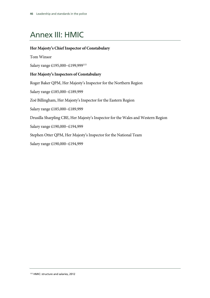# Annex III: HMIC

# **Her Majesty's Chief Inspector of Constabulary**

Tom Winsor

Salary range £195,000−£199,999115

# **Her Majesty's Inspectors of Constabulary**

Roger Baker QPM, Her Majesty's Inspector for the Northern Region Salary range £185,000−£189,999 Zoë Billingham, Her Majesty's Inspector for the Eastern Region Salary range £185,000−£189,999 Drusilla Sharpling CBE, Her Majesty's Inspector for the Wales and Western Region Salary range £190,000−£194,999 Stephen Otter QPM, Her Majesty's Inspector for the National Team Salary range £190,000−£194,999

115 HMIC: structure and salaries, 2012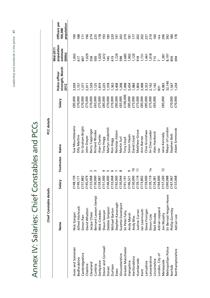Leadership and standards in the police 47 Leadership and standards in the police **47**

# Annex IV: Salaries: Chief Constables and PCCs Annex IV: Salaries: Chief Constables and PCCs

|                     | Chief Constable details |          |                | PCC details           |          |                                           |                                              |                                       |
|---------------------|-------------------------|----------|----------------|-----------------------|----------|-------------------------------------------|----------------------------------------------|---------------------------------------|
|                     | Name                    | Salary   | Footnotes      | Name                  | Salary   | strength, March<br>Police officer<br>2012 | population<br>Mid-2011<br>estimate<br>(000s) | Officers per<br>population<br>100,000 |
| Avon and Somerset   | Nick Gargan             | £148,159 |                | Sue Mountstevens      | E85,000  | 3,039                                     | 1,602                                        | $\overline{5}$                        |
| Bedfordshire        | Alfred Hitchcock        | £149,171 |                | <b>Olly Martins</b>   | £70,000  | 1,157                                     |                                              | 188                                   |
| Cambridgeshire      | Simon Parr              | £157,882 |                | Sir Graham Bright     | £70,000  | 1,377                                     | 617<br>807<br>1,029<br>558<br>500            | $\overline{5}$                        |
| Cheshire            | David Whatton           | £145,479 |                | John Dwyer            | £75,000  | 2,011                                     |                                              | $\frac{96}{2}$                        |
| Cleveland           | Jacqui Cheer            | £133,068 |                | Barry Coppinger       | £70,000  | 1,529                                     |                                              | 274                                   |
| Cumbria             | Bernard Lawson (temp)   | £130,000 |                | <b>Richard Rhodes</b> | £65,000  | I,125                                     |                                              | 225                                   |
| Derbyshire          | Mick Creedon            | £159,987 |                | Alan Charles          | £75,000  | 1,819                                     |                                              | 178                                   |
| Devon and Cornwall  | Shaun Sawyer            | £151,000 |                | Tony Hogg             | £85,000  | 3,225                                     | 1,020<br>1,672<br>745                        | $\frac{5}{6}$                         |
| Dorset              | Debbie Simpson          | £146,000 | L٥             | Martyn Underhill      | £70,000  | 1,378                                     |                                              | 185                                   |
| Durham              | Michael Barton          | £133,068 | ဖ              | Ron Hogg              | £70,000  | 1,363                                     |                                              | 220                                   |
| Essex               | Stephen Kavanagh        | £192,000 |                | Nicholas Alston       | £85,000  | 3,408                                     | 619<br>1,729                                 | 197                                   |
| Gloucestershire     | Suzette Davenport       | £130,044 | $\infty$       | Martin Surl           | £65,000  | 1,208                                     | 598                                          | 202                                   |
| Greater Manchester  | Sir Peter Fahy          | £191,191 |                | Tony Lloyd            | £100,000 | 7,498                                     |                                              | 279                                   |
| Hampshire           | Andy Marsh              | £146,52  | თ              | Simon Hayes           | £85,000  | 3,434                                     | 2,685<br>1,902<br>1,120<br>918               | 181                                   |
| Hertfordshire       | Andy Bliss              | £130,000 | $\overline{c}$ | David Lloyd           | £75,000  | 1,984                                     |                                              | $177$<br>202                          |
| Humberside          | Justine Curran          | £139,119 |                | Matthew Grove         | £75,000  | 1,856                                     |                                              |                                       |
| Kent                | lan Learmouth           | £173,802 |                | Ann Barnes            | £85,000  | 3,498                                     | 1,731                                        |                                       |
| Lancashire          | Steve Finnigan          | £159,000 |                | Clive Grunshaw        | £85,000  | 3,323                                     |                                              | 207<br>207<br>210                     |
| Leicestershire      | Simon Cole              | £139,119 | ρ,             | Sir Clive Loader      | £75,000  | 2,142                                     |                                              |                                       |
| Lincolnshire        | Neil Rhodes             | £134,38° |                | Alan Hardwick         | £65,000  | 1,142                                     | 1,461<br>1,018<br>715                        | 160                                   |
| London, City of     | Adrian Leppard          | £164,000 |                | n/a                   |          | 831                                       |                                              | n <sup>2</sup>                        |
| Merseyside          | Jon Murphy              | £157,260 | $\overline{c}$ | lane Kennedy          | £85,000  | 4,083                                     | 1,381                                        | 296                                   |
| Metropolitan Police | Sir Bernad Hogan-Howe   | £260,088 |                | Mayor of London       |          | 32,140                                    | 8,197                                        | 392                                   |
| Norfolk             | Phillip Gormley         | £167,967 |                | Stephen Bett          | £70,000  | 1,547                                     | 859                                          | $\frac{80}{2}$                        |
| Northamptonshire    | Adrian Lee              | £133,068 |                | Adam Simmonds         | £70,000  | .234                                      | 694                                          | 178                                   |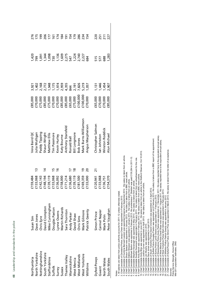| ֠<br>I      |
|-------------|
|             |
|             |
| ı<br>ı      |
|             |
| ۱<br>7<br>ţ |
| I           |
| ī<br>S      |
| d<br>ı      |
| b<br>ī      |
| Í<br>٢<br>Ó |
| ı<br>١      |
|             |
|             |
|             |
|             |
| ı           |
|             |
| ١<br>ı<br>٠ |
|             |

| Northumbria           | Susan Sim                  | 159,484  |                 | Vera Baird QC         | E85,000                                  | 3,921                                                                                                                                                                                                                                                                         |                                                                                                                                                                   |                      |
|-----------------------|----------------------------|----------|-----------------|-----------------------|------------------------------------------|-------------------------------------------------------------------------------------------------------------------------------------------------------------------------------------------------------------------------------------------------------------------------------|-------------------------------------------------------------------------------------------------------------------------------------------------------------------|----------------------|
| North Yorkshire       | Dave Jones                 | 133,068  | $\tilde{1}$     | Julia Mulligan        | £70,000                                  |                                                                                                                                                                                                                                                                               |                                                                                                                                                                   |                      |
| Nottinghamshire       | thris Eyre                 | 5142,143 |                 | Paddy Tipping         | E75,000                                  |                                                                                                                                                                                                                                                                               |                                                                                                                                                                   |                      |
| South Yorkshire       | Javid Crompton             | £148,194 | $\ddot{a}$      | Shaun Wright          |                                          |                                                                                                                                                                                                                                                                               |                                                                                                                                                                   |                      |
| <b>Staffordshire</b>  | Mike Cunningham            | 139,119  |                 | Matthew Ellis         | £85,000<br>£75,000<br>£70,000<br>£85,000 |                                                                                                                                                                                                                                                                               | $1, 20$<br>$7, 30$<br>$7, 30$<br>$7, 30$<br>$7, 20$<br>$7, 20$<br>$7, 20$<br>$7, 20$<br>$7, 20$<br>$7, 20$<br>$7, 20$<br>$7, 20$<br>$7, 20$<br>$7, 20$<br>$7, 20$ | 2198751855282528528  |
| Suffolk               | <b>Douglas Paxton</b>      | 133,068  |                 | Tim Passmore          |                                          |                                                                                                                                                                                                                                                                               |                                                                                                                                                                   |                      |
| Surrey                | ynne Owens                 | £136,092 |                 | Kevin Hurley          |                                          |                                                                                                                                                                                                                                                                               |                                                                                                                                                                   |                      |
| Sussex                | Martin Richards            | 158,000  |                 | Katy Bourne           |                                          |                                                                                                                                                                                                                                                                               |                                                                                                                                                                   |                      |
| hames Valley          | ara Thornton               | 171,214  |                 | Anthony Stansfeld     | £85,000                                  |                                                                                                                                                                                                                                                                               |                                                                                                                                                                   |                      |
| Narwickshire          | Andy Parker                | E136,680 |                 | Ronald Ball           | £65,000                                  |                                                                                                                                                                                                                                                                               |                                                                                                                                                                   |                      |
| <b>Nest Mercia</b>    | <b>VedShaw</b>             | 139,119  | ≌               | Bill Longmore         | E75,000                                  |                                                                                                                                                                                                                                                                               |                                                                                                                                                                   |                      |
| <b>Nest Midlands</b>  | <b>Chris Sims</b>          | -181,500 |                 | <b>Bob Jones</b>      | 100,000                                  |                                                                                                                                                                                                                                                                               |                                                                                                                                                                   |                      |
| <b>Nest Yorkshire</b> | <b><i>Mark Gilmore</i></b> | 169,359  | <u>م</u>        | Mark Burns-Williamson | 100,000                                  |                                                                                                                                                                                                                                                                               |                                                                                                                                                                   |                      |
| Wiltshire             | Patrick Geenty             | E133,000 | ន               | Angus Macpherson      | E70,000                                  | $\begin{array}{l} 1.7767 \\ 1.77877 \\ 1.779777 \\ 1.7797777 \\ 1.7797777 \\ 1.7797777 \\ 1.7797777 \\ 1.7797777 \\ 1.7797777 \\ 1.7797777 \\ 1.7797777 \\ 1.7797777 \\ 1.7797777 \\ 1.7797777 \\ 1.7797777 \\ 1.7797777 \\ 1.7797777 \\ 1.7797777 \\ 1.7797777 \\ 1.7797777$ |                                                                                                                                                                   | 234<br>154           |
| Dyfed-Powys           | Simon Prince               | E120,941 | $\overline{21}$ | Christopher Salmon    | £65,000                                  | 1, 131<br>1, 446<br>1, 454                                                                                                                                                                                                                                                    | 515<br>577<br>688                                                                                                                                                 |                      |
| Gwent                 | Carmel Napier              | £133,068 |                 | lan Johnston          | E70,000                                  |                                                                                                                                                                                                                                                                               |                                                                                                                                                                   |                      |
| North Wales           | Mark Polin                 | E136,751 |                 | Winston Roddick       | E70,000                                  |                                                                                                                                                                                                                                                                               |                                                                                                                                                                   | 25<br>25<br>27<br>27 |
| South Wales           | Peter Vaughan              | E154,370 |                 | Alun Michael          | E85,000                                  | 2,907                                                                                                                                                                                                                                                                         | 1,283                                                                                                                                                             |                      |
|                       |                            |          |                 |                       |                                          |                                                                                                                                                                                                                                                                               |                                                                                                                                                                   |                      |

Notes<br>1. All salaries are taken from police authority accounts for 2011-12 unless otherwise stated. 1. All salaries are taken from police authority accounts for 2011-12 unless otherwise stated.

2. Chief Constable of Cleveland Police Jacqui Cheer was appointed in February 2013.

2. Characteristics of Clauding Policing and the main of the state of the state of the state of the state of the state of the state of the state of the state of the state of the state of the state of the state of the state 3. Chief Constable of Cumbria Bernard Lawson was appointed temporary in September 2012. His salary is taken from an article.

4. Chief Constable Shaun Sawyer was appointed in January 2013. His salary is taken from a BBC news article.

5. Chief Constable Debbie Simpson was appointed in January 2013. Her salary is taken from an article.

6. Chief Constable Michael Barton was appointed in February 2013. His predecessor T Stoddart was paid £130,264 in 2011-12.

7. Chief Constable Stephen Kavanagh was appointed in May 2013. His salary is taken from an article.

8. Chief Constable Suzette Davenport was appointed in February 2013. Her salary is taken from an advertisement for the role.

9. Chief Constable Andy Marsh was appointed in February 2013. His salary is taken from a BBC news article.

10. Chief Constable Andy Bliss was appointed in June 2011. His salary is taken from an article in the Watford Observer, Oct 18 2012.

11. Chief Constable Justine Curran was appointed in April 2013. Her salary is taken from an article.

12. Chief Constable Jon Murphy was appointed in 2010.

13. Chief Constable Dave Jones was appointed in April 2013.

14. Chief Constable of South Yorkshire Police David Crompton was appointed on 2 April 2012.

15. Chief Constable of Suffolk Police Douglas Paxton was appointed on 8 February 2013. His salary is taken from a BBC report of his appointment.

16. Chief Constable of Surrey Police Lynne Owens was appointed on 1 February 2012.

17. Chief Constable of Warwickshire Police Andy Parker was appointed on 1 December 2011. His salary reported here is the equivalent annual salary.

18. Chief Constable of West Mercia Police David Shaw was appointed on 1 August 2011. His salary reported here is the equivalent annual salary.

19. Chief Constable of West Yorkshire Police Mark Gilmore was appointed in February 2013.

20. Chief Constable of Wiltshire Police Patrick Geenty was appointed in January 2013.

21. Chief Constable of Dyfed-Powys Police Simon Price was appointed in March 2013. His salary is taken from his letter of acceptance. Sources:

Police Service Strength, Home Office

Sources:<br>Police Service Strength, Home Office<br>Mid-2011 population estimates, ONS Mid-2011 population estimates, ONS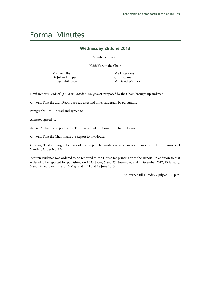# Formal Minutes

### **Wednesday 26 June 2013**

Members present:

Keith Vaz, in the Chair

Michael Ellis Dr Julian Huppert Bridget Phillipson

Mark Reckless Chris Ruane Mr David Winnick

Draft Report (*Leadership and standards in the police*), proposed by the Chair, brought up and read.

*Ordered*, That the draft Report be read a second time, paragraph by paragraph.

Paragraphs 1 to 127 read and agreed to.

Annexes agreed to.

*Resolved*, That the Report be the Third Report of the Committee to the House.

*Ordered*, That the Chair make the Report to the House.

*Ordered*, That embargoed copies of the Report be made available, in accordance with the provisions of Standing Order No. 134.

Written evidence was ordered to be reported to the House for printing with the Report (in addition to that ordered to be reported for publishing on 16 October, 6 and 27 November, and 4 December 2012, 15 January, 5 and 19 February, 14 and 16 May, and 4, 11 and 18 June 2013.

[Adjourned till Tuesday 2 July at 2.30 p.m.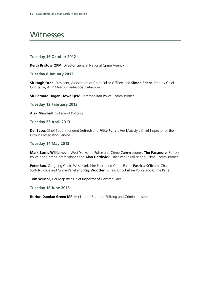# Witnesses

### **Tuesday 16 October 2012**

**Keith Bristow QPM**, Director General National Crime Agency

**Tuesday 8 January 2013** 

**Sir Hugh Orde**, President, Association of Chief Police Officers and **Simon Edens**, Deputy Chief Constable, ACPO lead on anti-social behaviour

**Sir Bernard Hogan-Howe QPM**, Metropolitan Police Commissioner

**Tuesday 12 February 2013** 

**Alex Marshall**, College of Policing

**Tuesday 23 April 2013** 

**Dal Babu**, Chief Superintendent (retired) and **Mike Fuller**, Her Majesty's Chief Inspector of the Crown Prosecution Service

### **Tuesday 14 May 2013**

**Mark Burns-Williamson**, West Yorkshire Police and Crime Commissioner, **Tim Passmore**, Suffolk Police and Crime Commissioner and **Alan Hardwick**, Lincolnshire Police and Crime Commissioner

**Peter Box**, Outgoing Chair, West Yorkshire Police and Crime Panel, **Patricia O'Brien**, Chair, Suffolk Police and Crime Panel and **Ray Wootten**, Chair, Lincolnshire Police and Crime Panel

**Tom Winsor**, Her Majesty's Chief Inspector of Constabulary

### **Tuesday 18 June 2013**

**Rt Hon Damian Green MP**, Minister of State for Policing and Criminal Justice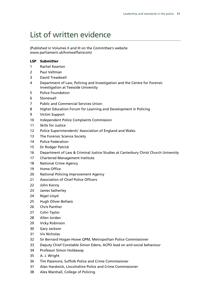# List of written evidence

(Published in Volumes II and III on the Committee's website www.parliament.uk/homeaffairscom)

### **LSP Submitter**

- Rachel Kearton
- Paul Veltman
- David Treadwell
- Department of Law, Policing and Investigation and the Centre for Forensic Investigation at Teesside University
- Police Foundation
- Stonewall
- Public and Commercial Services Union
- Higher Education Forum for Learning and Development in Policing
- Victim Support
- Independent Police Complaints Commission
- Skills for Justice
- Police Superintendents' Association of England and Wales
- The Forensic Science Society
- Police Federation
- Dr Rodger Patrick
- Department of Law & Criminal Justice Studies at Canterbury Christ Church University
- Chartered Management Institute
- National Crime Agency
- Home Office
- National Policing Improvement Agency
- Association of Chief Police Officers
- John Kenny
- James Satherley
- 24 Nigel Lloyd
- Hugh Oliver-Bellasis
- Chris Panther
- Colin Taylor
- Allen Jordan
- Vicky Robinson
- Gary Jackson
- Viv Nicholas
- Sir Bernard Hogan-Howe QPM, Metropolitan Police Commissioner
- Deputy Chief Constable Simon Edens, ACPO lead on anti-social behaviour
- Professor Simon Holdaway
- A. J. Wright
- Tim Passmore, Suffolk Police and Crime Commissioner
- Alan Hardwick, Lincolnshire Police and Crime Commissioner
- Alex Marshall, College of Policing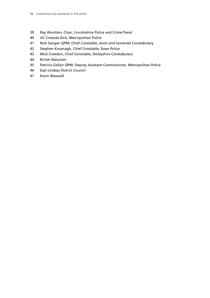- Ray Wootten, Chair, Lincolnshire Police and Crime Panel
- AC Cressida Dick, Metropolitan Police
- Nick Gargan QPM, Chief Constable, Avon and Somerset Constabulary
- Stephen Kavanagh, Chief Constable, Essex Police
- Mick Creedon, Chief Constable, Derbyshire Constabulary
- British Naturism
- Patricia Gallan QPM, Deputy Assistant Commissioner, Metropolitan Police
- East Lindsey District Council
- Kevin Maxwell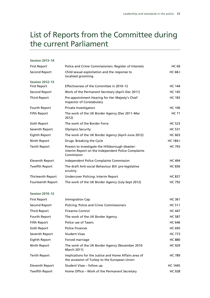# List of Reports from the Committee during the current Parliament

### **Session 2013–14**

| <b>First Report</b>      | Police and Crime Commissioners: Register of Interests                                                                 | <b>HC 69</b>    |
|--------------------------|-----------------------------------------------------------------------------------------------------------------------|-----------------|
| Second Report            | Child sexual exploitation and the response to<br>localised grooming                                                   | <b>HC 68-I</b>  |
| <b>Session 2012-13</b>   |                                                                                                                       |                 |
| <b>First Report</b>      | Effectiveness of the Committee in 2010-12                                                                             | <b>HC 144</b>   |
| Second Report            | Work of the Permanent Secretary (April–Dec 2011)                                                                      | <b>HC 145</b>   |
| Third Report             | Pre-appointment Hearing for Her Majesty's Chief<br>Inspector of Constabulary                                          | <b>HC 183</b>   |
| Fourth Report            | Private Investigators                                                                                                 | <b>HC 100</b>   |
| <b>Fifth Report</b>      | The work of the UK Border Agency (Dec 2011–Mar<br>2012)                                                               | <b>HC 71</b>    |
| Sixth Report             | The work of the Border Force                                                                                          | <b>HC 523</b>   |
| Seventh Report           | <b>Olympics Security</b>                                                                                              | <b>HC 531</b>   |
| Eighth Report            | The work of the UK Border Agency (April–June 2012)                                                                    | <b>HC 603</b>   |
| Ninth Report             | Drugs: Breaking the Cycle                                                                                             | <b>HC 184-I</b> |
| <b>Tenth Report</b>      | Powers to investigate the Hillsborough disaster:<br>interim Report on the Independent Police Complaints<br>Commission | <b>HC 793</b>   |
| Eleventh Report          | <b>Independent Police Complaints Commission</b>                                                                       | <b>HC 494</b>   |
| <b>Twelfth Report</b>    | The draft Anti-social Behaviour Bill: pre-legislative<br>scrutiny                                                     | <b>HC 836</b>   |
| Thirteenth Report        | Undercover Policing: Interim Report                                                                                   | <b>HC 837</b>   |
| <b>Fourteenth Report</b> | The work of the UK Border Agency (July-Sept 2012)                                                                     | <b>HC 792</b>   |

### **Session 2010–12**

| <b>First Report</b>   | Immigration Cap                                                                                        | <b>HC 361</b>  |
|-----------------------|--------------------------------------------------------------------------------------------------------|----------------|
| Second Report         | <b>Policing: Police and Crime Commissioners</b>                                                        | <b>HC 511</b>  |
| Third Report          | <b>Firearms Control</b>                                                                                | <b>HC 447</b>  |
| Fourth Report         | The work of the UK Border Agency                                                                       | <b>HC 587</b>  |
| Fifth Report          | Police use of Tasers                                                                                   | <b>HC 646</b>  |
| Sixth Report          | <b>Police Finances</b>                                                                                 | <b>HC 695</b>  |
| Seventh Report        | <b>Student Visas</b>                                                                                   | <b>HC 773</b>  |
| Eighth Report         | Forced marriage                                                                                        | <b>HC 880</b>  |
| Ninth Report          | The work of the UK Border Agency (November 2010-<br>March 2011)                                        | <b>HC 929</b>  |
| <b>Tenth Report</b>   | Implications for the Justice and Home Affairs area of<br>the accession of Turkey to the European Union | <b>HC 789</b>  |
| Eleventh Report       | Student Visas - follow up                                                                              | <b>HC 1445</b> |
| <b>Twelfth Report</b> | Home Office – Work of the Permanent Secretary                                                          | <b>HC 928</b>  |